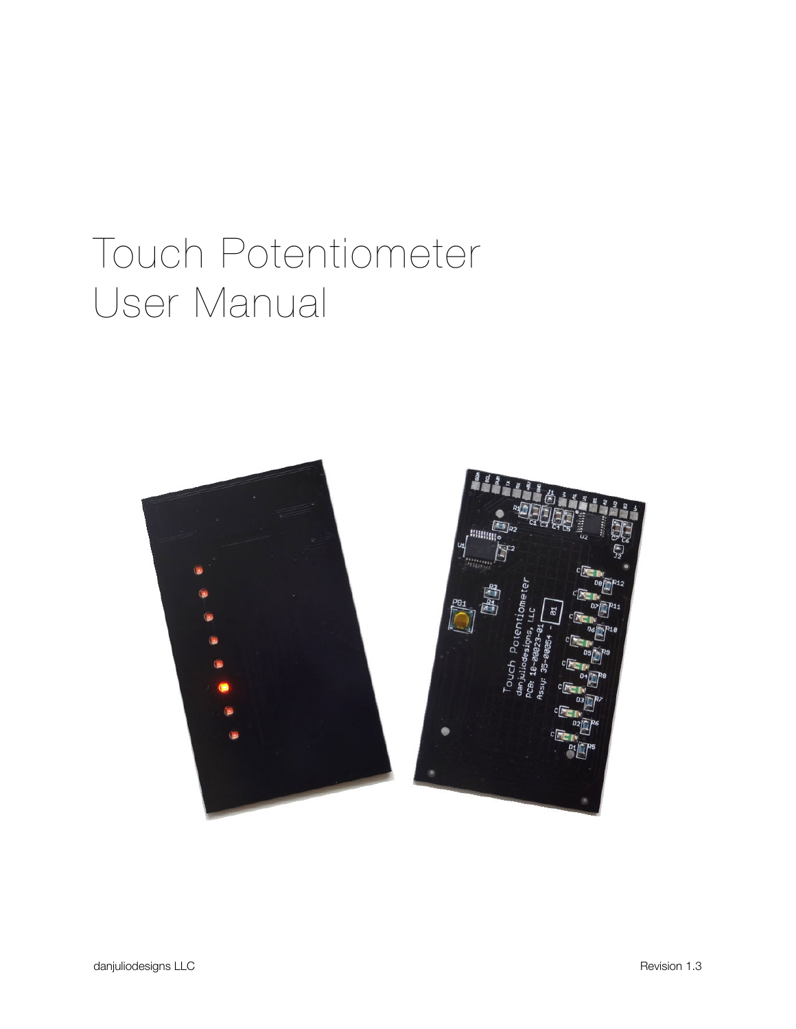# Touch Potentiometer User Manual

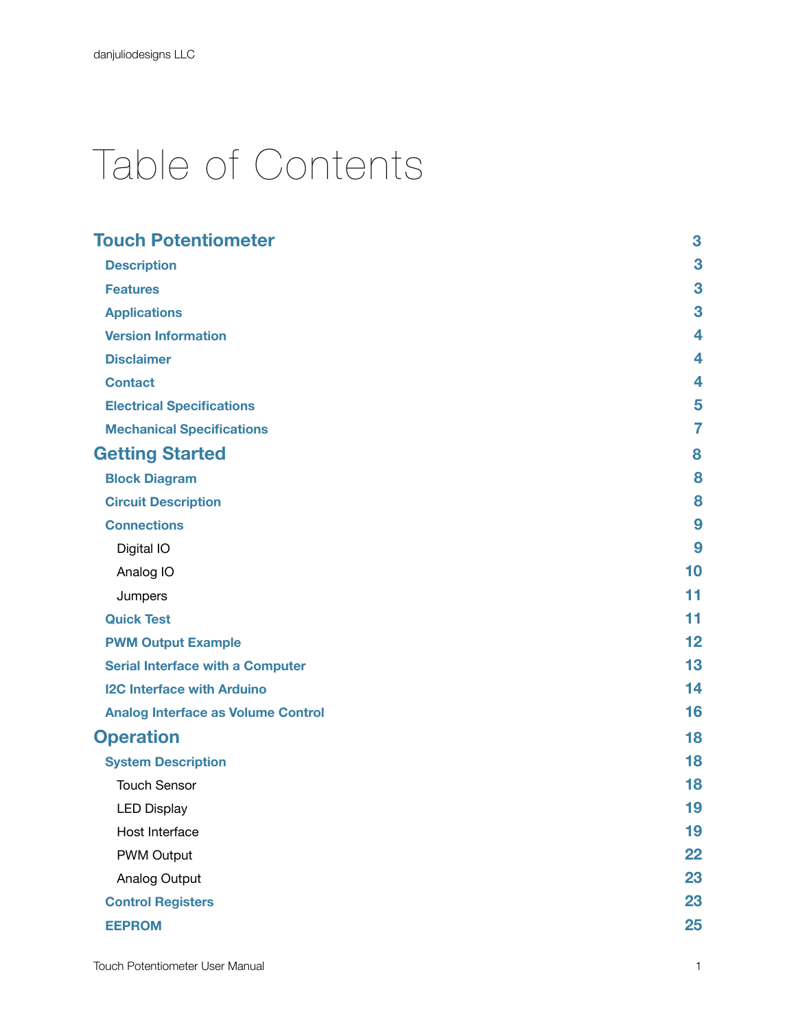# Table of Contents

| <b>Touch Potentiometer</b>                | 3  |
|-------------------------------------------|----|
| <b>Description</b>                        | 3  |
| <b>Features</b>                           | 3  |
| <b>Applications</b>                       | 3  |
| <b>Version Information</b>                | 4  |
| <b>Disclaimer</b>                         | 4  |
| <b>Contact</b>                            | 4  |
| <b>Electrical Specifications</b>          | 5  |
| <b>Mechanical Specifications</b>          | 7  |
| <b>Getting Started</b>                    | 8  |
| <b>Block Diagram</b>                      | 8  |
| <b>Circuit Description</b>                | 8  |
| <b>Connections</b>                        | 9  |
| Digital IO                                | 9  |
| Analog IO                                 | 10 |
| Jumpers                                   | 11 |
| <b>Quick Test</b>                         | 11 |
| <b>PWM Output Example</b>                 | 12 |
| <b>Serial Interface with a Computer</b>   | 13 |
| <b>I2C Interface with Arduino</b>         | 14 |
| <b>Analog Interface as Volume Control</b> | 16 |
| <b>Operation</b>                          | 18 |
| <b>System Description</b>                 | 18 |
| <b>Touch Sensor</b>                       | 18 |
| <b>LED Display</b>                        | 19 |
| Host Interface                            | 19 |
| PWM Output                                | 22 |
| Analog Output                             | 23 |
| <b>Control Registers</b>                  | 23 |
| <b>EEPROM</b>                             | 25 |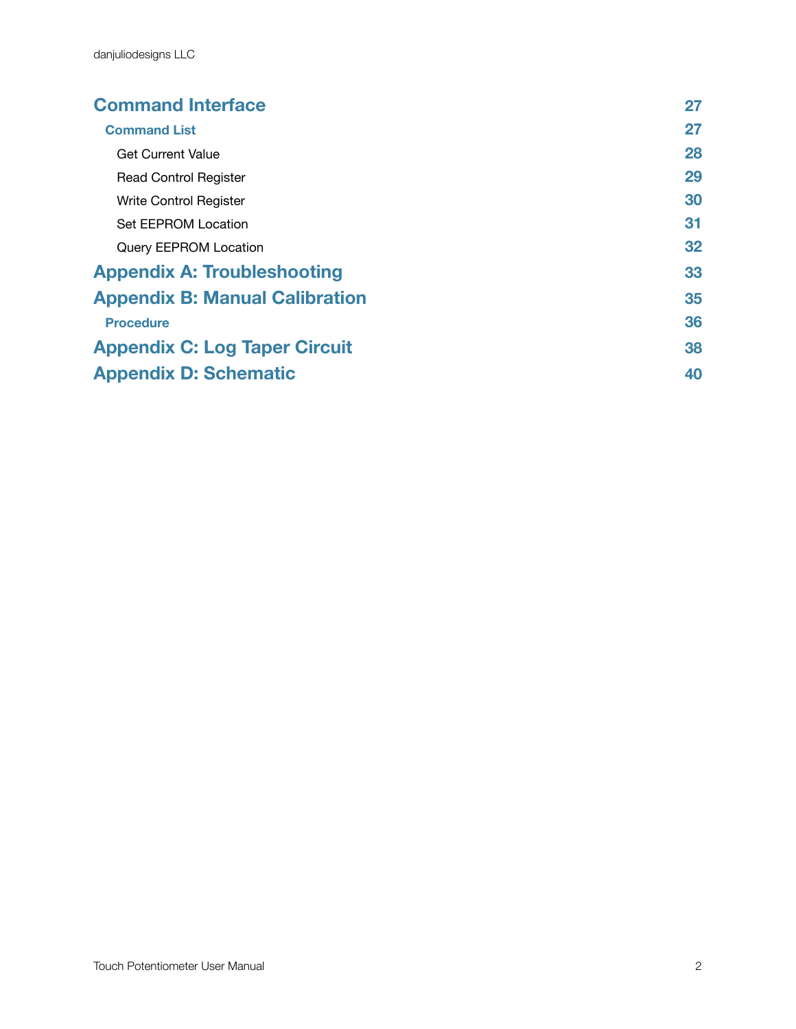# **[Command Interface](#page-27-0) 27**

| <b>Command List</b>                   | 27 |
|---------------------------------------|----|
| <b>Get Current Value</b>              | 28 |
| <b>Read Control Register</b>          | 29 |
| Write Control Register                | 30 |
| Set EEPROM Location                   | 31 |
| Query EEPROM Location                 | 32 |
| <b>Appendix A: Troubleshooting</b>    | 33 |
| <b>Appendix B: Manual Calibration</b> | 35 |
| <b>Procedure</b>                      | 36 |
| <b>Appendix C: Log Taper Circuit</b>  | 38 |
| <b>Appendix D: Schematic</b>          | 40 |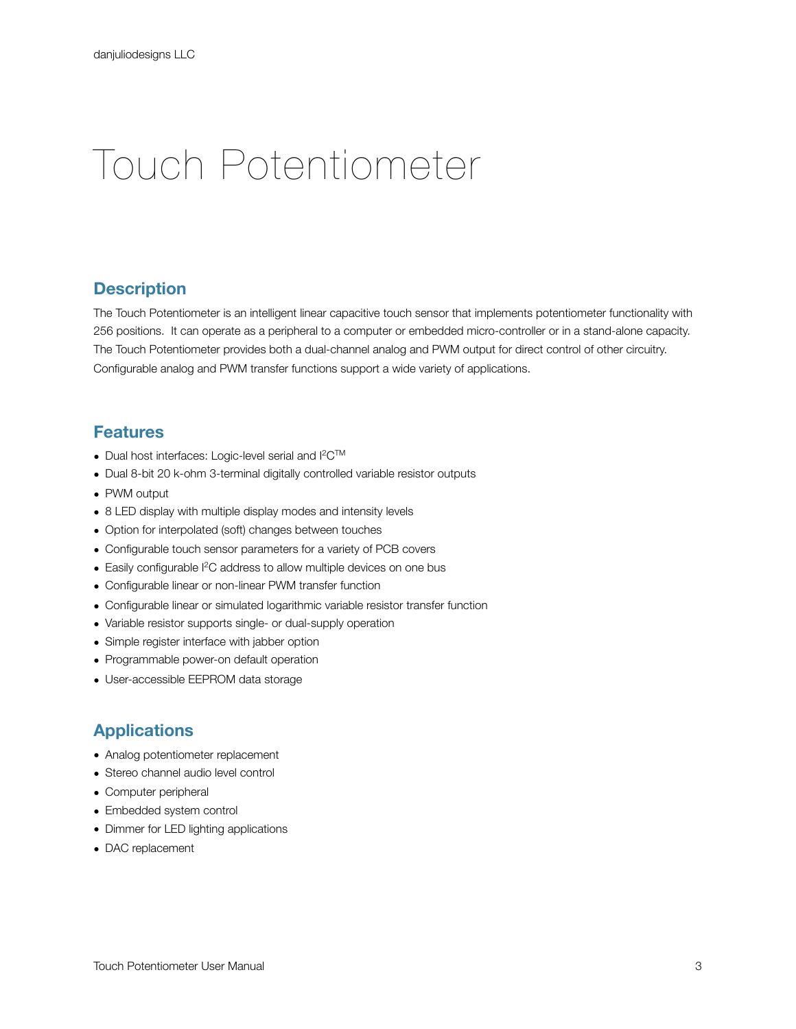# <span id="page-3-0"></span>Touch Potentiometer

## <span id="page-3-1"></span>**Description**

The Touch Potentiometer is an intelligent linear capacitive touch sensor that implements potentiometer functionality with 256 positions. It can operate as a peripheral to a computer or embedded micro-controller or in a stand-alone capacity. The Touch Potentiometer provides both a dual-channel analog and PWM output for direct control of other circuitry. Configurable analog and PWM transfer functions support a wide variety of applications.

### <span id="page-3-2"></span>**Features**

- Dual host interfaces: Logic-level serial and  $12^{\text{CTM}}$
- Dual 8-bit 20 k-ohm 3-terminal digitally controlled variable resistor outputs
- PWM output
- 8 LED display with multiple display modes and intensity levels
- Option for interpolated (soft) changes between touches
- Configurable touch sensor parameters for a variety of PCB covers
- Easily configurable I2C address to allow multiple devices on one bus
- Configurable linear or non-linear PWM transfer function
- Configurable linear or simulated logarithmic variable resistor transfer function
- Variable resistor supports single- or dual-supply operation
- Simple register interface with jabber option
- Programmable power-on default operation
- User-accessible EEPROM data storage

# <span id="page-3-3"></span>**Applications**

- Analog potentiometer replacement
- Stereo channel audio level control
- Computer peripheral
- Embedded system control
- Dimmer for LED lighting applications
- DAC replacement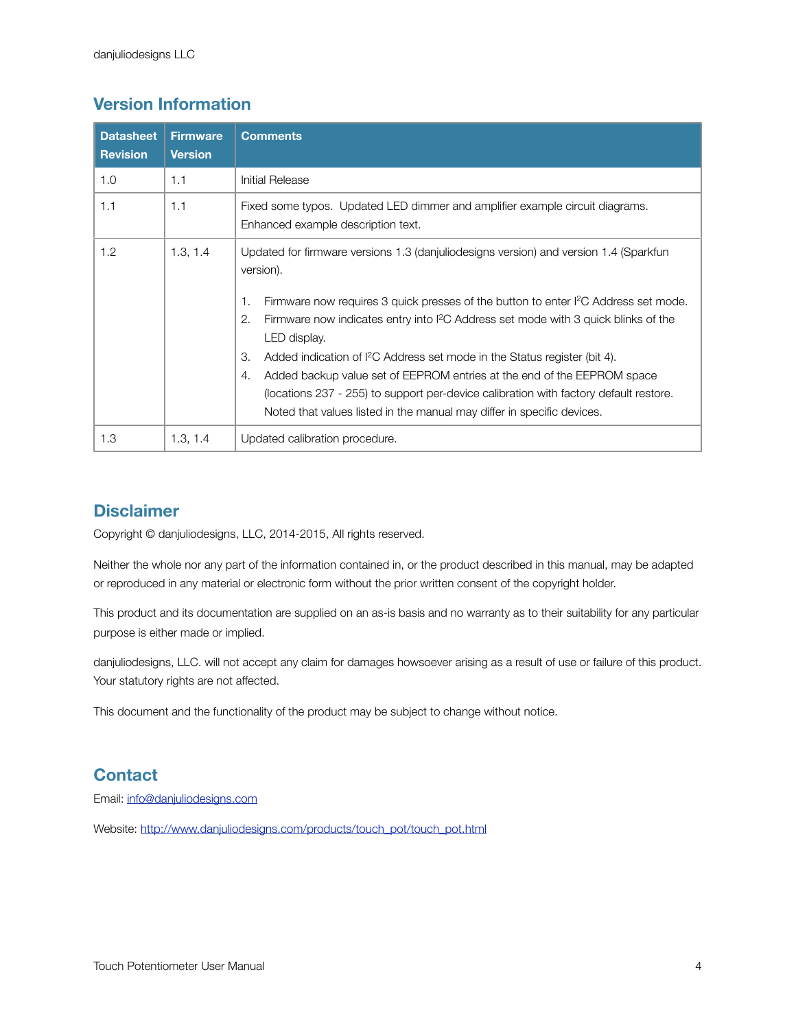# <span id="page-4-0"></span>**Version Information**

| <b>Datasheet</b><br><b>Revision</b> | <b>Firmware</b><br><b>Version</b> | <b>Comments</b>                                                                                                                                                                                                                                                                                                                                                                                                                                                                                                                                                                                                                                                  |
|-------------------------------------|-----------------------------------|------------------------------------------------------------------------------------------------------------------------------------------------------------------------------------------------------------------------------------------------------------------------------------------------------------------------------------------------------------------------------------------------------------------------------------------------------------------------------------------------------------------------------------------------------------------------------------------------------------------------------------------------------------------|
| 1.0                                 | 1.1                               | Initial Release                                                                                                                                                                                                                                                                                                                                                                                                                                                                                                                                                                                                                                                  |
| 1.1                                 | 1.1                               | Fixed some typos. Updated LED dimmer and amplifier example circuit diagrams.<br>Enhanced example description text.                                                                                                                                                                                                                                                                                                                                                                                                                                                                                                                                               |
| 1.2                                 | 1.3, 1.4                          | Updated for firmware versions 1.3 (danjuliodesigns version) and version 1.4 (Sparkfun<br>version).<br>Firmware now requires 3 quick presses of the button to enter <sup>2</sup> C Address set mode.<br>1.<br>Firmware now indicates entry into $I^2C$ Address set mode with 3 quick blinks of the<br>2.<br>LED display.<br>3.<br>Added indication of $l^2C$ Address set mode in the Status register (bit 4).<br>Added backup value set of EEPROM entries at the end of the EEPROM space<br>4.<br>(locations 237 - 255) to support per-device calibration with factory default restore.<br>Noted that values listed in the manual may differ in specific devices. |
| 1.3                                 | 1.3, 1.4                          | Updated calibration procedure.                                                                                                                                                                                                                                                                                                                                                                                                                                                                                                                                                                                                                                   |

### <span id="page-4-1"></span>**Disclaimer**

Copyright © danjuliodesigns, LLC, 2014-2015, All rights reserved.

Neither the whole nor any part of the information contained in, or the product described in this manual, may be adapted or reproduced in any material or electronic form without the prior written consent of the copyright holder.

This product and its documentation are supplied on an as-is basis and no warranty as to their suitability for any particular purpose is either made or implied.

danjuliodesigns, LLC. will not accept any claim for damages howsoever arising as a result of use or failure of this product. Your statutory rights are not affected.

This document and the functionality of the product may be subject to change without notice.

# <span id="page-4-2"></span>**Contact**

Email: [info@danjuliodesigns.com](mailto:info@danjuliodesigns.com)

Website: [http://www.danjuliodesigns.com/products/touch\\_pot/touch\\_pot.html](http://www.danjuliodesigns.com/products/touch_pot/touch_pot.html)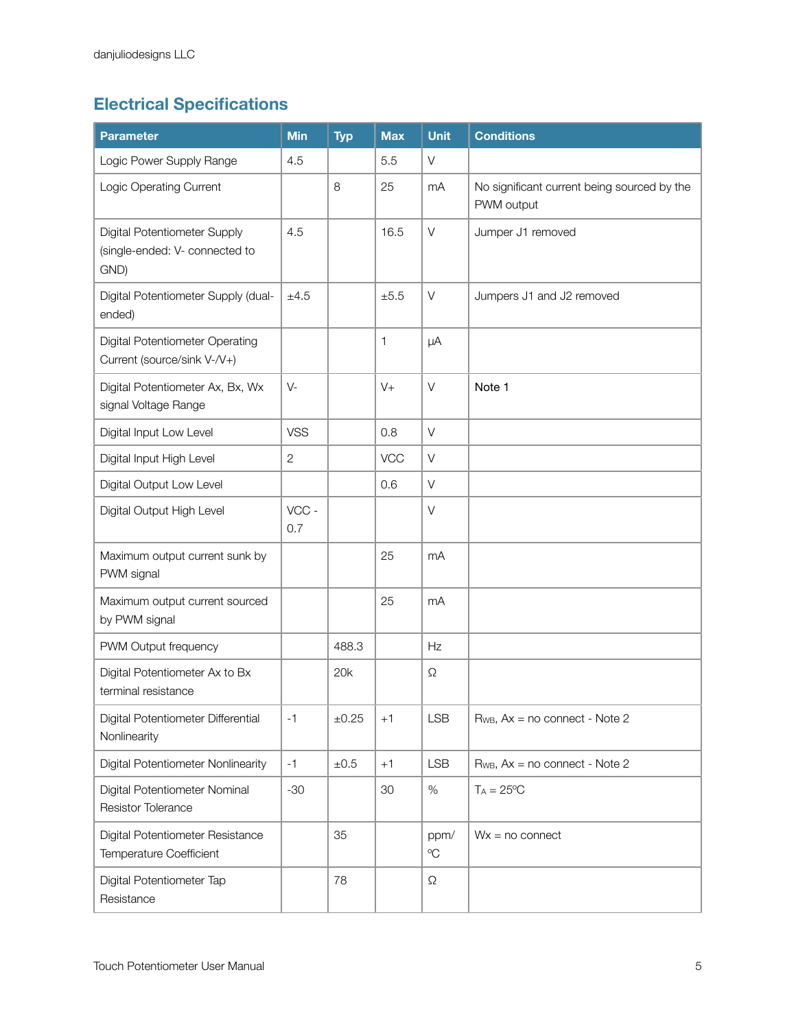# <span id="page-5-0"></span>**Electrical Specifications**

| <b>Parameter</b>                                                       | <b>Min</b>     | <b>Typ</b> | <b>Max</b> | <b>Unit</b> | <b>Conditions</b>                                         |
|------------------------------------------------------------------------|----------------|------------|------------|-------------|-----------------------------------------------------------|
| Logic Power Supply Range                                               | 4.5            |            | 5.5        | $\vee$      |                                                           |
| Logic Operating Current                                                |                | $\,8\,$    | 25         | mA          | No significant current being sourced by the<br>PWM output |
| Digital Potentiometer Supply<br>(single-ended: V- connected to<br>GND) | 4.5            |            | 16.5       | V           | Jumper J1 removed                                         |
| Digital Potentiometer Supply (dual-<br>ended)                          | ±4.5           |            | ±5.5       | V           | Jumpers J1 and J2 removed                                 |
| Digital Potentiometer Operating<br>Current (source/sink V-/V+)         |                |            | 1          | μA          |                                                           |
| Digital Potentiometer Ax, Bx, Wx<br>signal Voltage Range               | $V -$          |            | $V +$      | $\vee$      | Note 1                                                    |
| Digital Input Low Level                                                | <b>VSS</b>     |            | 0.8        | V           |                                                           |
| Digital Input High Level                                               | $\overline{c}$ |            | VCC        | V           |                                                           |
| Digital Output Low Level                                               |                |            | 0.6        | V           |                                                           |
| Digital Output High Level                                              | VCC-<br>0.7    |            |            | V           |                                                           |
| Maximum output current sunk by<br>PWM signal                           |                |            | 25         | mA          |                                                           |
| Maximum output current sourced<br>by PWM signal                        |                |            | 25         | mA          |                                                           |
| PWM Output frequency                                                   |                | 488.3      |            | Hz          |                                                           |
| Digital Potentiometer Ax to Bx<br>terminal resistance                  |                | 20k        |            | $\Omega$    |                                                           |
| Digital Potentiometer Differential<br>Nonlinearity                     | $-1$           | $\pm 0.25$ | $+1$       | <b>LSB</b>  | $R_{WB}$ , $Ax = no$ connect - Note 2                     |
| Digital Potentiometer Nonlinearity                                     | $-1$           | $\pm 0.5$  | $+1$       | <b>LSB</b>  | $R_{WB}$ , $Ax = no$ connect - Note 2                     |
| Digital Potentiometer Nominal<br>Resistor Tolerance                    | $-30$          |            | 30         | $\%$        | $T_A = 25$ °C                                             |
| Digital Potentiometer Resistance<br>Temperature Coefficient            |                | 35         |            | ppm/<br>°C  | $Wx = no connect$                                         |
| Digital Potentiometer Tap<br>Resistance                                |                | 78         |            | Ω           |                                                           |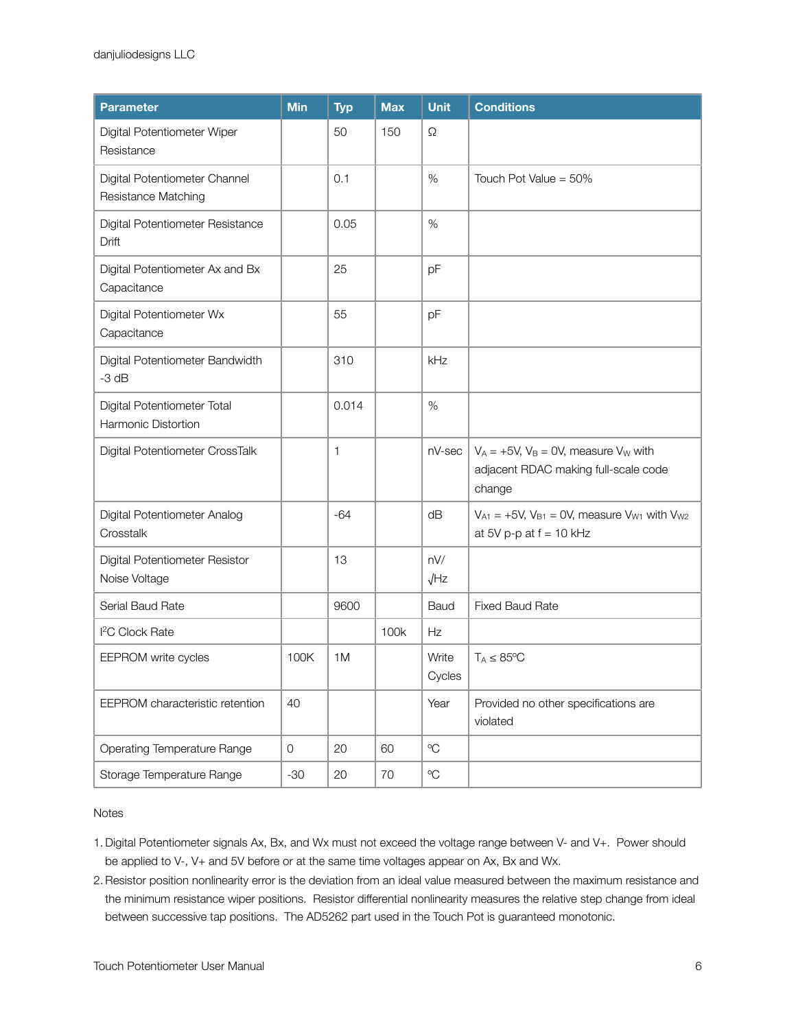| <b>Parameter</b>                                     | <b>Min</b>          | <b>Typ</b> | <b>Max</b> | <b>Unit</b>        | <b>Conditions</b>                                                                                        |
|------------------------------------------------------|---------------------|------------|------------|--------------------|----------------------------------------------------------------------------------------------------------|
| Digital Potentiometer Wiper<br>Resistance            |                     | 50         | 150        | Ω                  |                                                                                                          |
| Digital Potentiometer Channel<br>Resistance Matching |                     | 0.1        |            | $\%$               | Touch Pot Value = $50\%$                                                                                 |
| Digital Potentiometer Resistance<br>Drift            |                     | 0.05       |            | $\%$               |                                                                                                          |
| Digital Potentiometer Ax and Bx<br>Capacitance       |                     | 25         |            | pF                 |                                                                                                          |
| Digital Potentiometer Wx<br>Capacitance              |                     | 55         |            | pF                 |                                                                                                          |
| Digital Potentiometer Bandwidth<br>$-3 dB$           |                     | 310        |            | kHz                |                                                                                                          |
| Digital Potentiometer Total<br>Harmonic Distortion   |                     | 0.014      |            | %                  |                                                                                                          |
| Digital Potentiometer CrossTalk                      |                     | 1          |            | nV-sec             | $V_A = +5V$ , $V_B = 0V$ , measure V <sub>w</sub> with<br>adjacent RDAC making full-scale code<br>change |
| Digital Potentiometer Analog<br>Crosstalk            |                     | $-64$      |            | dB                 | $V_{A1}$ = +5V, $V_{B1}$ = 0V, measure $V_{W1}$ with $V_{W2}$<br>at 5V p-p at $f = 10$ kHz               |
| Digital Potentiometer Resistor<br>Noise Voltage      |                     | 13         |            | nV/<br>$\sqrt{Hz}$ |                                                                                                          |
| Serial Baud Rate                                     |                     | 9600       |            | Baud               | <b>Fixed Baud Rate</b>                                                                                   |
| <sup>2</sup> C Clock Rate                            |                     |            | 100k       | Hz                 |                                                                                                          |
| EEPROM write cycles                                  | 100K                | 1M         |            | Write<br>Cycles    | $T_A \leq 85^{\circ}C$                                                                                   |
| EEPROM characteristic retention                      | 40                  |            |            | Year               | Provided no other specifications are<br>violated                                                         |
| Operating Temperature Range                          | $\mathsf{O}\xspace$ | 20         | 60         | $\rm ^{o}C$        |                                                                                                          |
| Storage Temperature Range                            | $-30$               | 20         | 70         | $\rm ^{o}C$        |                                                                                                          |

#### Notes

- 1.Digital Potentiometer signals Ax, Bx, and Wx must not exceed the voltage range between V- and V+. Power should be applied to V-, V+ and 5V before or at the same time voltages appear on Ax, Bx and Wx.
- 2.Resistor position nonlinearity error is the deviation from an ideal value measured between the maximum resistance and the minimum resistance wiper positions. Resistor differential nonlinearity measures the relative step change from ideal between successive tap positions. The AD5262 part used in the Touch Pot is guaranteed monotonic.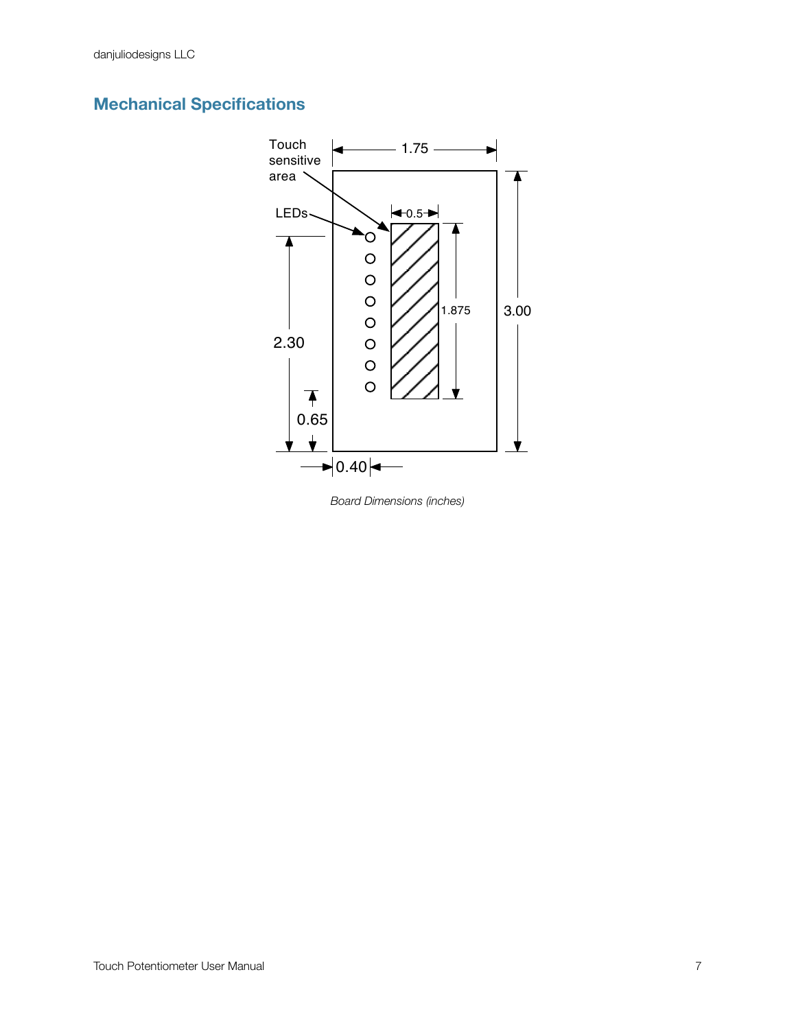# <span id="page-7-0"></span>**Mechanical Specifications**



*Board Dimensions (inches)*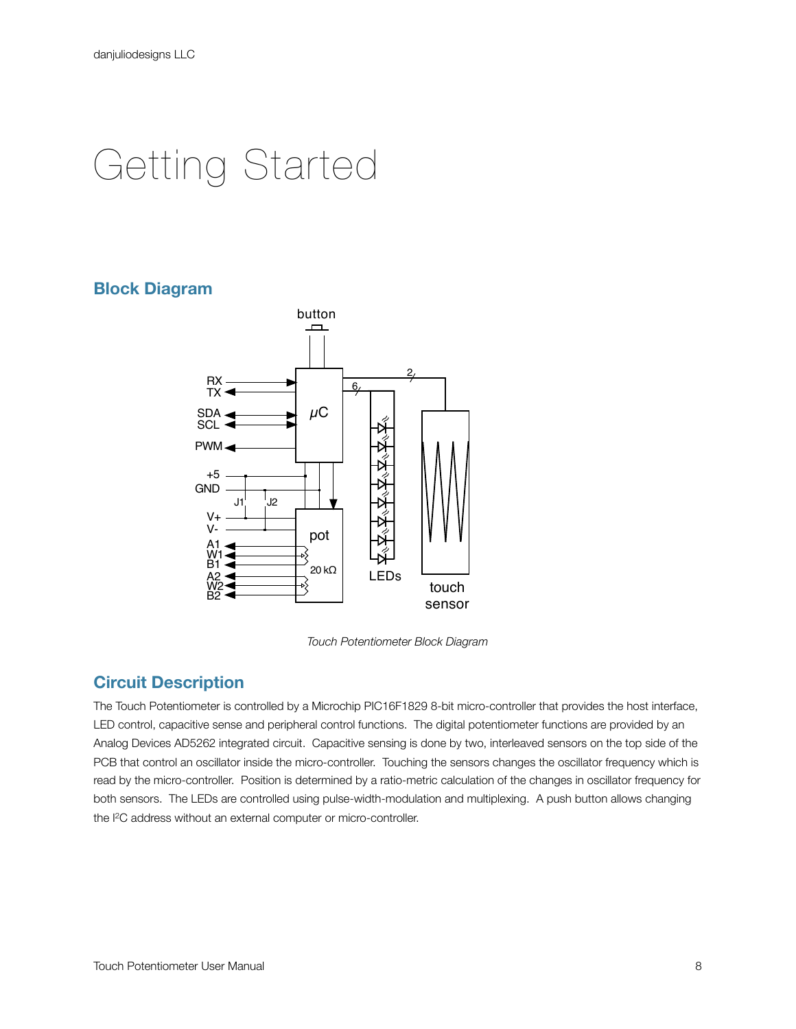# <span id="page-8-0"></span>Getting Started

# <span id="page-8-1"></span>**Block Diagram**



*Touch Potentiometer Block Diagram*

# <span id="page-8-2"></span>**Circuit Description**

The Touch Potentiometer is controlled by a Microchip PIC16F1829 8-bit micro-controller that provides the host interface, LED control, capacitive sense and peripheral control functions. The digital potentiometer functions are provided by an Analog Devices AD5262 integrated circuit. Capacitive sensing is done by two, interleaved sensors on the top side of the PCB that control an oscillator inside the micro-controller. Touching the sensors changes the oscillator frequency which is read by the micro-controller. Position is determined by a ratio-metric calculation of the changes in oscillator frequency for both sensors. The LEDs are controlled using pulse-width-modulation and multiplexing. A push button allows changing the I2C address without an external computer or micro-controller.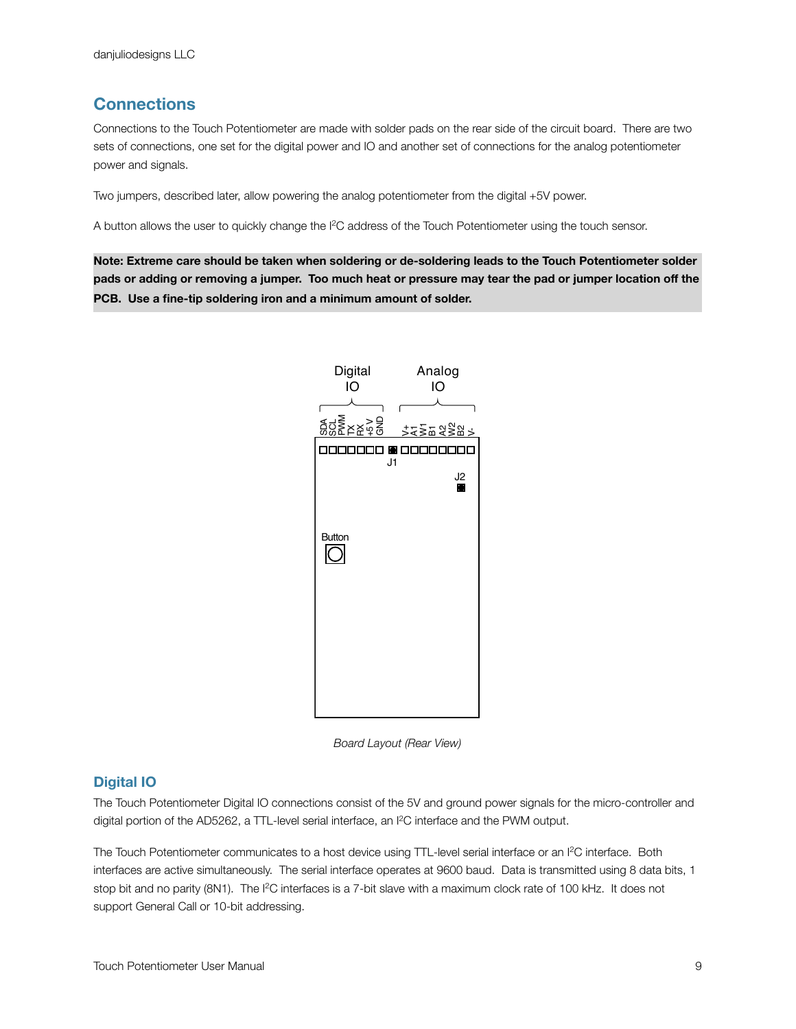# <span id="page-9-0"></span>**Connections**

Connections to the Touch Potentiometer are made with solder pads on the rear side of the circuit board. There are two sets of connections, one set for the digital power and IO and another set of connections for the analog potentiometer power and signals.

Two jumpers, described later, allow powering the analog potentiometer from the digital +5V power.

A button allows the user to quickly change the I2C address of the Touch Potentiometer using the touch sensor.

**Note: Extreme care should be taken when soldering or de-soldering leads to the Touch Potentiometer solder pads or adding or removing a jumper. Too much heat or pressure may tear the pad or jumper location off the PCB. Use a fine-tip soldering iron and a minimum amount of solder.**



*Board Layout (Rear View)*

#### <span id="page-9-1"></span>**Digital IO**

The Touch Potentiometer Digital IO connections consist of the 5V and ground power signals for the micro-controller and digital portion of the AD5262, a TTL-level serial interface, an I2C interface and the PWM output.

The Touch Potentiometer communicates to a host device using TTL-level serial interface or an I<sup>2</sup>C interface. Both interfaces are active simultaneously. The serial interface operates at 9600 baud. Data is transmitted using 8 data bits, 1 stop bit and no parity (8N1). The I2C interfaces is a 7-bit slave with a maximum clock rate of 100 kHz. It does not support General Call or 10-bit addressing.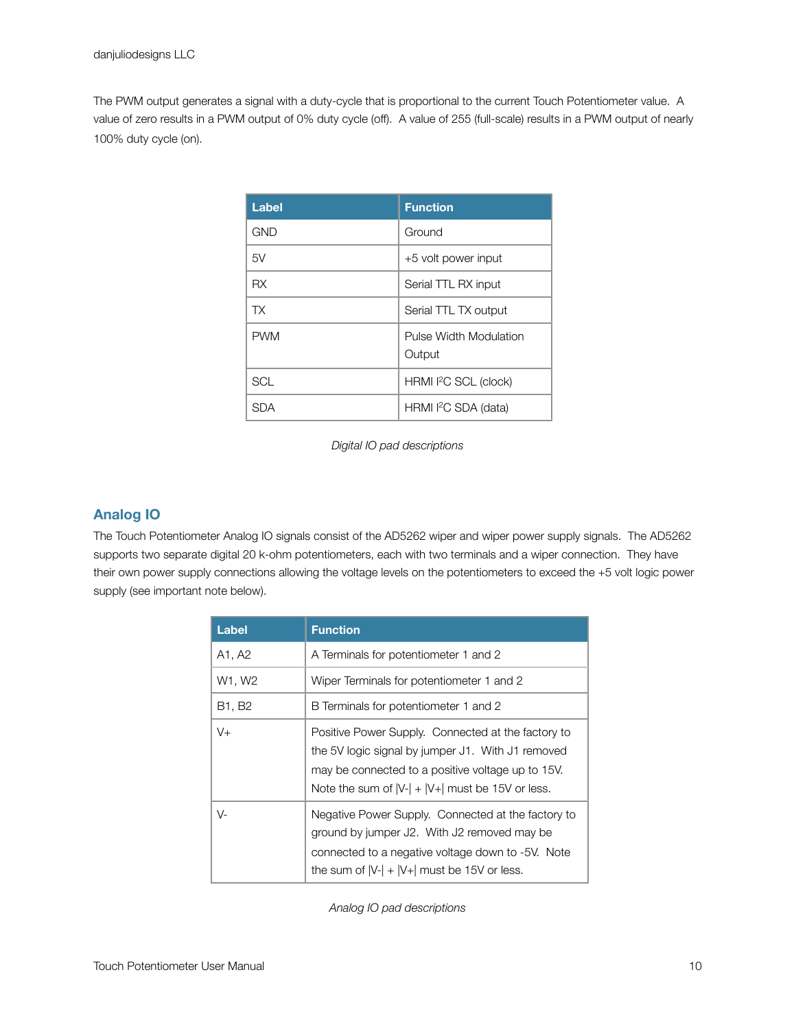The PWM output generates a signal with a duty-cycle that is proportional to the current Touch Potentiometer value. A value of zero results in a PWM output of 0% duty cycle (off). A value of 255 (full-scale) results in a PWM output of nearly 100% duty cycle (on).

| Label      | <b>Function</b>                  |
|------------|----------------------------------|
| <b>GND</b> | Ground                           |
| 5V         | +5 volt power input              |
| <b>RX</b>  | Serial TTL RX input              |
| <b>TX</b>  | Serial TTL TX output             |
| <b>PWM</b> | Pulse Width Modulation<br>Output |
| SCL        | HRMI <sup>2</sup> C SCL (clock)  |
| SDA        | HRMI <sup>2</sup> C SDA (data)   |

*Digital IO pad descriptions*

### <span id="page-10-0"></span>**Analog IO**

The Touch Potentiometer Analog IO signals consist of the AD5262 wiper and wiper power supply signals. The AD5262 supports two separate digital 20 k-ohm potentiometers, each with two terminals and a wiper connection. They have their own power supply connections allowing the voltage levels on the potentiometers to exceed the +5 volt logic power supply (see important note below).

| Label  | <b>Function</b>                                                                                                                                                                                                    |
|--------|--------------------------------------------------------------------------------------------------------------------------------------------------------------------------------------------------------------------|
| A1, A2 | A Terminals for potentiometer 1 and 2                                                                                                                                                                              |
| W1, W2 | Wiper Terminals for potentiometer 1 and 2                                                                                                                                                                          |
| B1, B2 | B Terminals for potentiometer 1 and 2                                                                                                                                                                              |
| $V +$  | Positive Power Supply. Connected at the factory to<br>the 5V logic signal by jumper J1. With J1 removed<br>may be connected to a positive voltage up to 15V.<br>Note the sum of $ V-  +  V+ $ must be 15V or less. |
| $V -$  | Negative Power Supply. Connected at the factory to<br>ground by jumper J2. With J2 removed may be<br>connected to a negative voltage down to -5V. Note<br>the sum of $ V-  +  V+ $ must be 15V or less.            |

*Analog IO pad descriptions*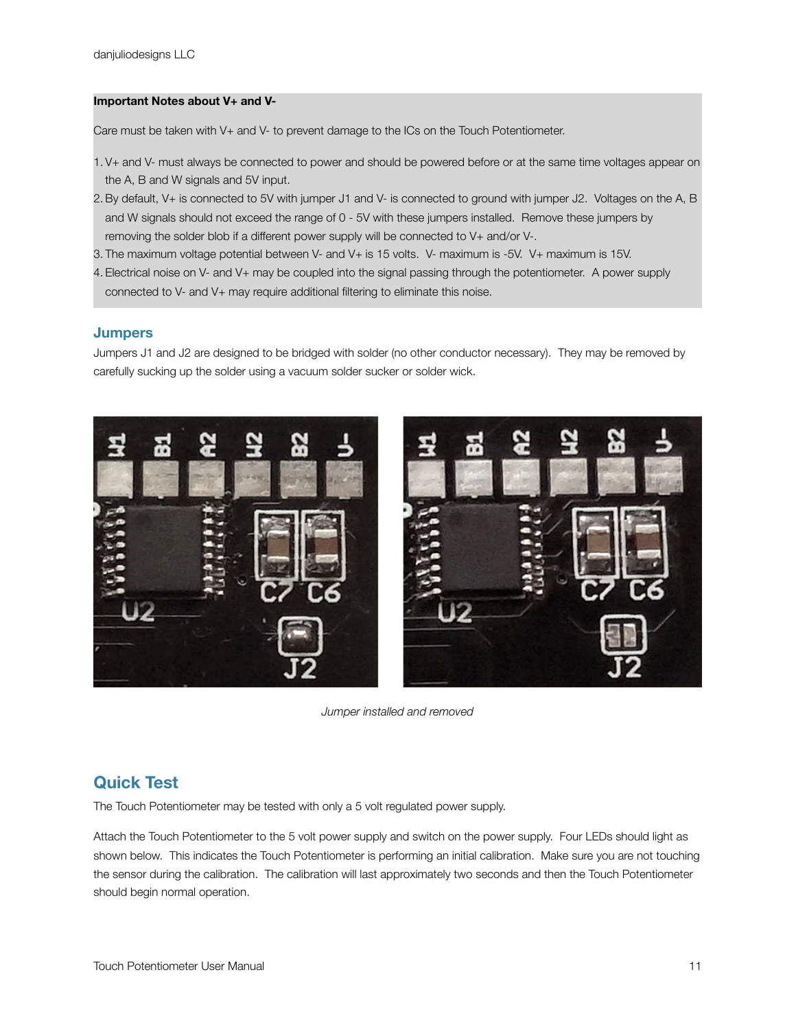#### **Important Notes about V+ and V-**

Care must be taken with V+ and V- to prevent damage to the ICs on the Touch Potentiometer.

- 1. V+ and V- must always be connected to power and should be powered before or at the same time voltages appear on the A, B and W signals and 5V input.
- 2.By default, V+ is connected to 5V with jumper J1 and V- is connected to ground with jumper J2. Voltages on the A, B and W signals should not exceed the range of 0 - 5V with these jumpers installed. Remove these jumpers by removing the solder blob if a different power supply will be connected to V+ and/or V-.
- 3. The maximum voltage potential between V- and V+ is 15 volts. V- maximum is -5V. V+ maximum is 15V.
- 4. Electrical noise on V- and V+ may be coupled into the signal passing through the potentiometer. A power supply connected to V- and V+ may require additional filtering to eliminate this noise.

#### <span id="page-11-0"></span>**Jumpers**

Jumpers J1 and J2 are designed to be bridged with solder (no other conductor necessary). They may be removed by carefully sucking up the solder using a vacuum solder sucker or solder wick.



*Jumper installed and removed*

## <span id="page-11-1"></span>**Quick Test**

The Touch Potentiometer may be tested with only a 5 volt regulated power supply.

Attach the Touch Potentiometer to the 5 volt power supply and switch on the power supply. Four LEDs should light as shown below. This indicates the Touch Potentiometer is performing an initial calibration. Make sure you are not touching the sensor during the calibration. The calibration will last approximately two seconds and then the Touch Potentiometer should begin normal operation.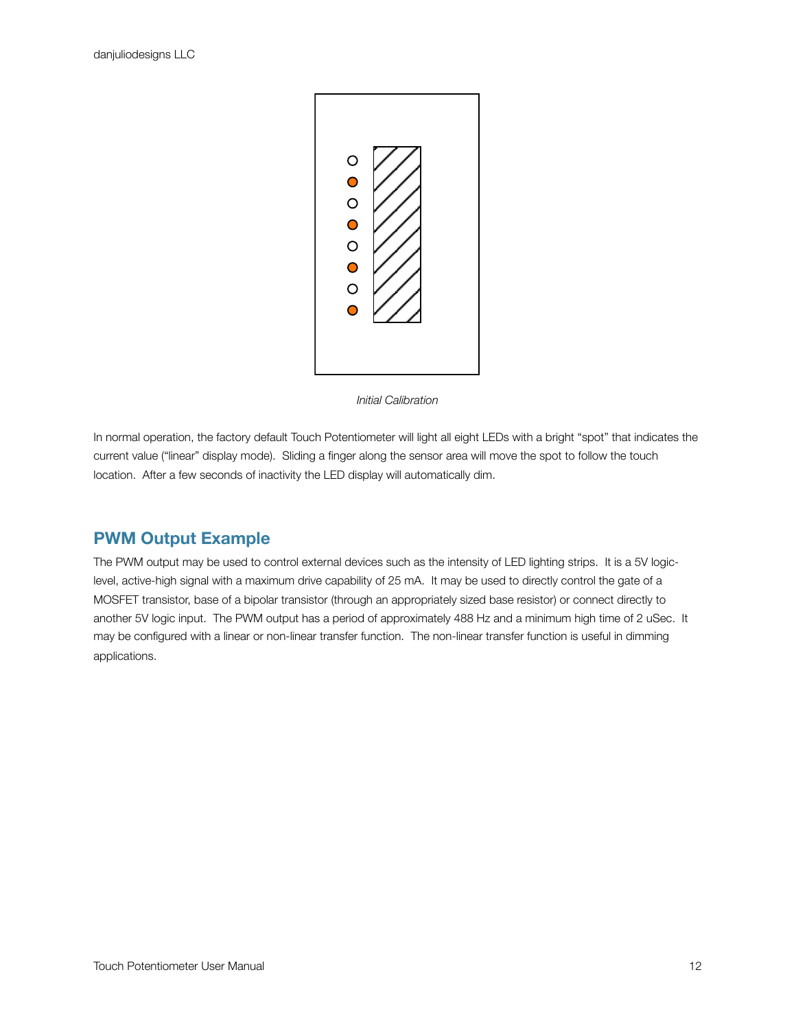

*Initial Calibration*

In normal operation, the factory default Touch Potentiometer will light all eight LEDs with a bright "spot" that indicates the current value ("linear" display mode). Sliding a finger along the sensor area will move the spot to follow the touch location. After a few seconds of inactivity the LED display will automatically dim.

# <span id="page-12-0"></span>**PWM Output Example**

The PWM output may be used to control external devices such as the intensity of LED lighting strips. It is a 5V logiclevel, active-high signal with a maximum drive capability of 25 mA. It may be used to directly control the gate of a MOSFET transistor, base of a bipolar transistor (through an appropriately sized base resistor) or connect directly to another 5V logic input. The PWM output has a period of approximately 488 Hz and a minimum high time of 2 uSec. It may be configured with a linear or non-linear transfer function. The non-linear transfer function is useful in dimming applications.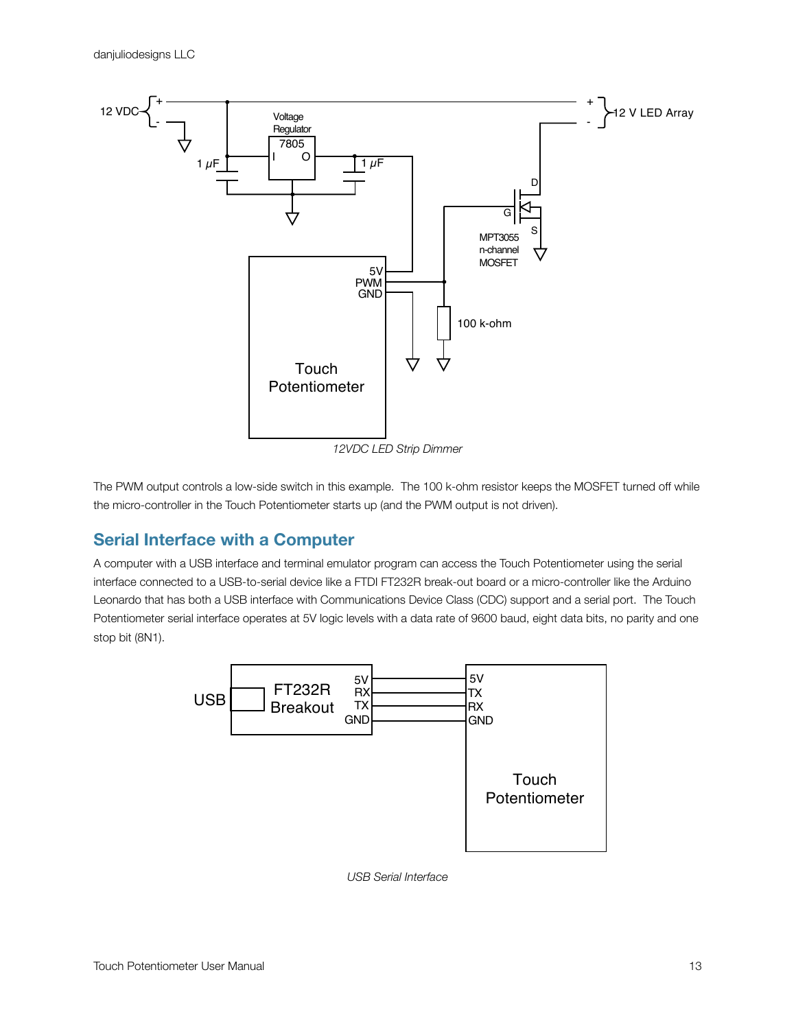

The PWM output controls a low-side switch in this example. The 100 k-ohm resistor keeps the MOSFET turned off while the micro-controller in the Touch Potentiometer starts up (and the PWM output is not driven).

# <span id="page-13-0"></span>**Serial Interface with a Computer**

A computer with a USB interface and terminal emulator program can access the Touch Potentiometer using the serial interface connected to a USB-to-serial device like a FTDI FT232R break-out board or a micro-controller like the Arduino Leonardo that has both a USB interface with Communications Device Class (CDC) support and a serial port. The Touch Potentiometer serial interface operates at 5V logic levels with a data rate of 9600 baud, eight data bits, no parity and one stop bit (8N1).



*USB Serial Interface*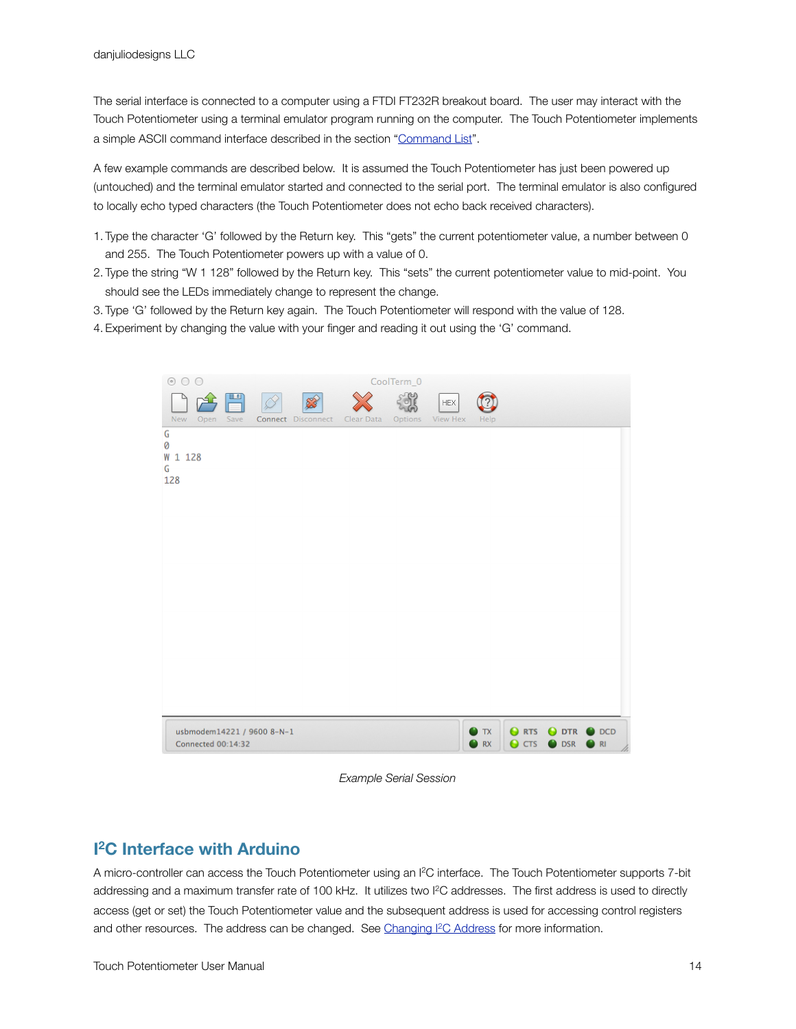The serial interface is connected to a computer using a FTDI FT232R breakout board. The user may interact with the Touch Potentiometer using a terminal emulator program running on the computer. The Touch Potentiometer implements a simple ASCII command interface described in the section ["Command List](#page-27-1)".

A few example commands are described below. It is assumed the Touch Potentiometer has just been powered up (untouched) and the terminal emulator started and connected to the serial port. The terminal emulator is also configured to locally echo typed characters (the Touch Potentiometer does not echo back received characters).

- 1. Type the character 'G' followed by the Return key. This "gets" the current potentiometer value, a number between 0 and 255. The Touch Potentiometer powers up with a value of 0.
- 2. Type the string "W 1 128" followed by the Return key. This "sets" the current potentiometer value to mid-point. You should see the LEDs immediately change to represent the change.
- 3. Type 'G' followed by the Return key again. The Touch Potentiometer will respond with the value of 128.
- 4. Experiment by changing the value with your finger and reading it out using the 'G' command.



*Example Serial Session*

### <span id="page-14-0"></span>**I 2C Interface with Arduino**

A micro-controller can access the Touch Potentiometer using an I2C interface. The Touch Potentiometer supports 7-bit addressing and a maximum transfer rate of 100 kHz. It utilizes two I<sup>2</sup>C addresses. The first address is used to directly access (get or set) the Touch Potentiometer value and the subsequent address is used for accessing control registers and other resources. The address can be changed. See Changing I<sup>2</sup>C Address for more information.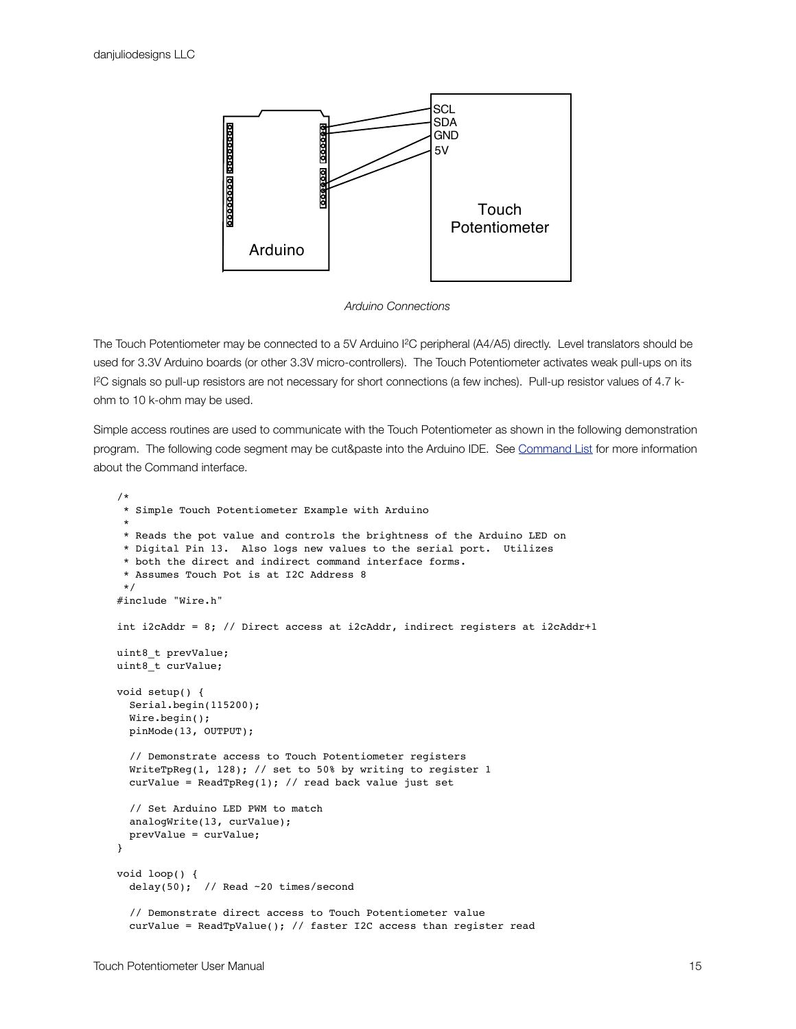

*Arduino Connections*

The Touch Potentiometer may be connected to a 5V Arduino I<sup>2</sup>C peripheral (A4/A5) directly. Level translators should be used for 3.3V Arduino boards (or other 3.3V micro-controllers). The Touch Potentiometer activates weak pull-ups on its I 2C signals so pull-up resistors are not necessary for short connections (a few inches). Pull-up resistor values of 4.7 kohm to 10 k-ohm may be used.

Simple access routines are used to communicate with the Touch Potentiometer as shown in the following demonstration program. The following code segment may be cut&paste into the Arduino IDE. See [Command List](#page-27-1) for more information about the Command interface.

```
/*
  * Simple Touch Potentiometer Example with Arduino
 *
  * Reads the pot value and controls the brightness of the Arduino LED on
  * Digital Pin 13. Also logs new values to the serial port. Utilizes
  * both the direct and indirect command interface forms.
  * Assumes Touch Pot is at I2C Address 8
  */
#include "Wire.h"
int i2cAddr = 8; // Direct access at i2cAddr, indirect registers at i2cAddr+1
uint8_t prevValue;
uint8_t curValue;
void setup() {
   Serial.begin(115200);
  Wire.begin();
  pinMode(13, OUTPUT);
   // Demonstrate access to Touch Potentiometer registers
  WriteTpReg(1, 128); // set to 50% by writing to register 1
 curValue = ReadTpReg(1); // read back value just set
   // Set Arduino LED PWM to match
  analogWrite(13, curValue);
  prevValue = curValue;
}
void loop() {
  delay(50); // Read ~20 times/second
   // Demonstrate direct access to Touch Potentiometer value
  curValue = ReadTpValue(); // faster I2C access than register read
```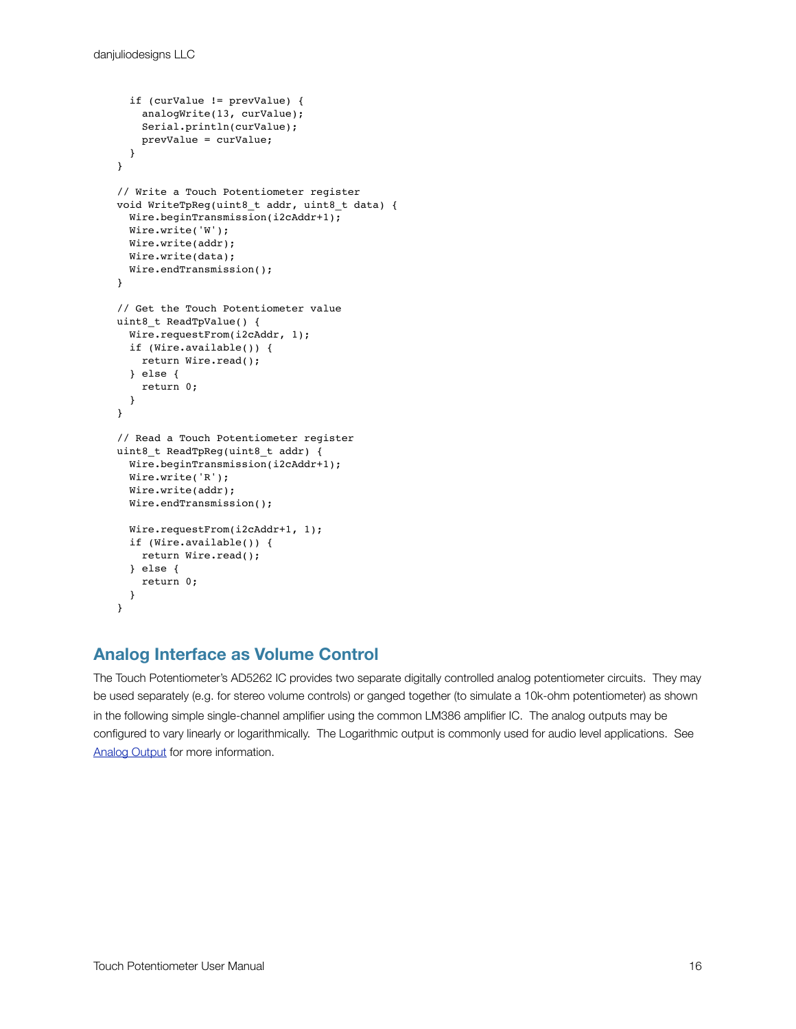```
 if (curValue != prevValue) {
    analogWrite(13, curValue);
     Serial.println(curValue);
     prevValue = curValue;
  }
}
// Write a Touch Potentiometer register
void WriteTpReg(uint8_t addr, uint8_t data) {
  Wire.beginTransmission(i2cAddr+1);
  Wire.write('W');
  Wire.write(addr);
  Wire.write(data);
 Wire.endTransmission();
}
// Get the Touch Potentiometer value
uint8_t ReadTpValue() {
  Wire.requestFrom(i2cAddr, 1);
  if (Wire.available()) {
    return Wire.read();
  } else {
    return 0;
  }
}
// Read a Touch Potentiometer register
uint8_t ReadTpReg(uint8_t addr) {
  Wire.beginTransmission(i2cAddr+1);
  Wire.write('R');
  Wire.write(addr);
  Wire.endTransmission();
  Wire.requestFrom(i2cAddr+1, 1);
  if (Wire.available()) {
    return Wire.read();
   } else {
    return 0;
   }
}
```
# <span id="page-16-0"></span>**Analog Interface as Volume Control**

The Touch Potentiometer's AD5262 IC provides two separate digitally controlled analog potentiometer circuits. They may be used separately (e.g. for stereo volume controls) or ganged together (to simulate a 10k-ohm potentiometer) as shown in the following simple single-channel amplifier using the common LM386 amplifier IC. The analog outputs may be configured to vary linearly or logarithmically. The Logarithmic output is commonly used for audio level applications. See [Analog Output](#page-23-0) for more information.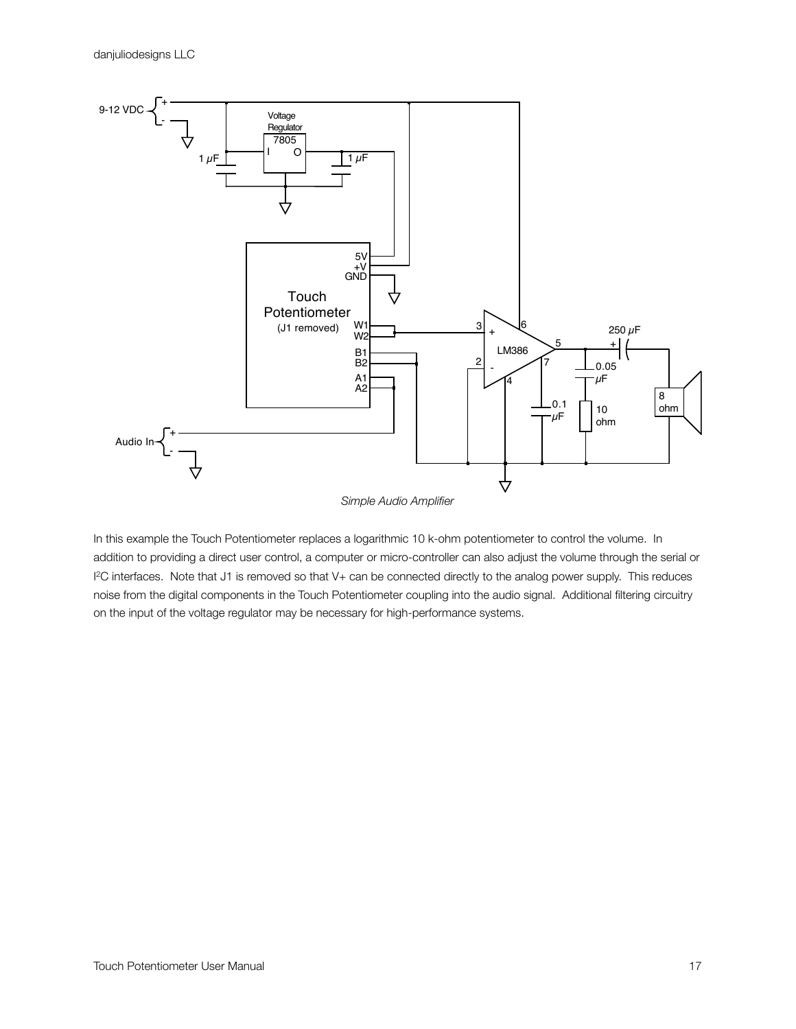

In this example the Touch Potentiometer replaces a logarithmic 10 k-ohm potentiometer to control the volume. In addition to providing a direct user control, a computer or micro-controller can also adjust the volume through the serial or I 2C interfaces. Note that J1 is removed so that V+ can be connected directly to the analog power supply. This reduces noise from the digital components in the Touch Potentiometer coupling into the audio signal. Additional filtering circuitry on the input of the voltage regulator may be necessary for high-performance systems.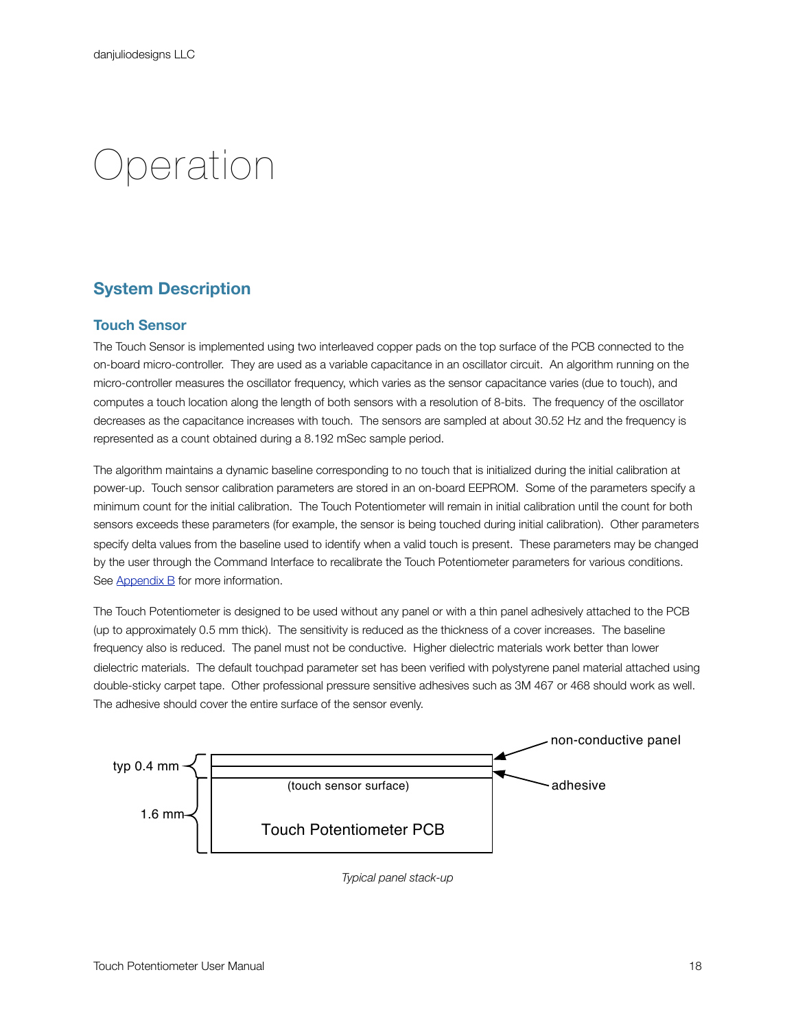# <span id="page-18-0"></span>Operation

# <span id="page-18-1"></span>**System Description**

#### <span id="page-18-2"></span>**Touch Sensor**

The Touch Sensor is implemented using two interleaved copper pads on the top surface of the PCB connected to the on-board micro-controller. They are used as a variable capacitance in an oscillator circuit. An algorithm running on the micro-controller measures the oscillator frequency, which varies as the sensor capacitance varies (due to touch), and computes a touch location along the length of both sensors with a resolution of 8-bits. The frequency of the oscillator decreases as the capacitance increases with touch. The sensors are sampled at about 30.52 Hz and the frequency is represented as a count obtained during a 8.192 mSec sample period.

The algorithm maintains a dynamic baseline corresponding to no touch that is initialized during the initial calibration at power-up. Touch sensor calibration parameters are stored in an on-board EEPROM. Some of the parameters specify a minimum count for the initial calibration. The Touch Potentiometer will remain in initial calibration until the count for both sensors exceeds these parameters (for example, the sensor is being touched during initial calibration). Other parameters specify delta values from the baseline used to identify when a valid touch is present. These parameters may be changed by the user through the Command Interface to recalibrate the Touch Potentiometer parameters for various conditions. See [Appendix B](#page-35-0) for more information.

The Touch Potentiometer is designed to be used without any panel or with a thin panel adhesively attached to the PCB (up to approximately 0.5 mm thick). The sensitivity is reduced as the thickness of a cover increases. The baseline frequency also is reduced. The panel must not be conductive. Higher dielectric materials work better than lower dielectric materials. The default touchpad parameter set has been verified with polystyrene panel material attached using double-sticky carpet tape. Other professional pressure sensitive adhesives such as 3M 467 or 468 should work as well. The adhesive should cover the entire surface of the sensor evenly.



*Typical panel stack-up*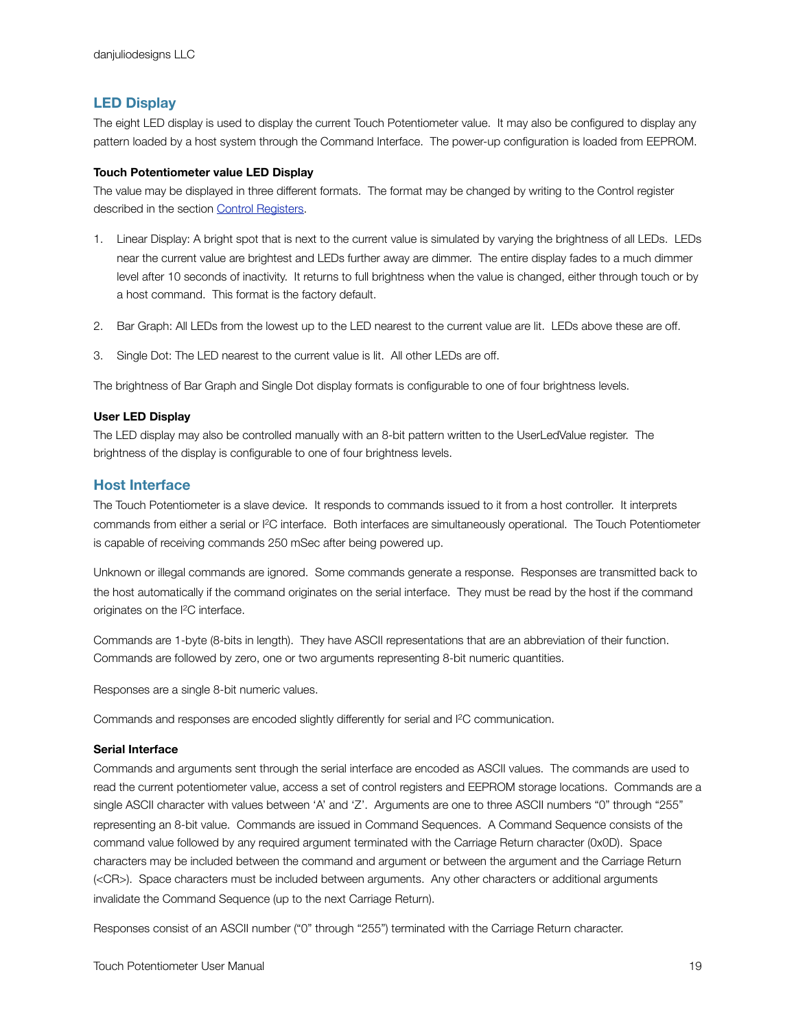#### <span id="page-19-0"></span>**LED Display**

The eight LED display is used to display the current Touch Potentiometer value. It may also be configured to display any pattern loaded by a host system through the Command Interface. The power-up configuration is loaded from EEPROM.

#### **Touch Potentiometer value LED Display**

The value may be displayed in three different formats. The format may be changed by writing to the Control register described in the section [Control Registers.](#page-23-1)

- 1. Linear Display: A bright spot that is next to the current value is simulated by varying the brightness of all LEDs. LEDs near the current value are brightest and LEDs further away are dimmer. The entire display fades to a much dimmer level after 10 seconds of inactivity. It returns to full brightness when the value is changed, either through touch or by a host command. This format is the factory default.
- 2. Bar Graph: All LEDs from the lowest up to the LED nearest to the current value are lit. LEDs above these are off.
- 3. Single Dot: The LED nearest to the current value is lit. All other LEDs are off.

The brightness of Bar Graph and Single Dot display formats is configurable to one of four brightness levels.

#### **User LED Display**

The LED display may also be controlled manually with an 8-bit pattern written to the UserLedValue register. The brightness of the display is configurable to one of four brightness levels.

#### <span id="page-19-1"></span>**Host Interface**

The Touch Potentiometer is a slave device. It responds to commands issued to it from a host controller. It interprets commands from either a serial or I2C interface. Both interfaces are simultaneously operational. The Touch Potentiometer is capable of receiving commands 250 mSec after being powered up.

Unknown or illegal commands are ignored. Some commands generate a response. Responses are transmitted back to the host automatically if the command originates on the serial interface. They must be read by the host if the command originates on the I2C interface.

Commands are 1-byte (8-bits in length). They have ASCII representations that are an abbreviation of their function. Commands are followed by zero, one or two arguments representing 8-bit numeric quantities.

Responses are a single 8-bit numeric values.

Commands and responses are encoded slightly differently for serial and I2C communication.

#### **Serial Interface**

Commands and arguments sent through the serial interface are encoded as ASCII values. The commands are used to read the current potentiometer value, access a set of control registers and EEPROM storage locations. Commands are a single ASCII character with values between 'A' and 'Z'. Arguments are one to three ASCII numbers "0" through "255" representing an 8-bit value. Commands are issued in Command Sequences. A Command Sequence consists of the command value followed by any required argument terminated with the Carriage Return character (0x0D). Space characters may be included between the command and argument or between the argument and the Carriage Return (<CR>). Space characters must be included between arguments. Any other characters or additional arguments invalidate the Command Sequence (up to the next Carriage Return).

Responses consist of an ASCII number ("0" through "255") terminated with the Carriage Return character.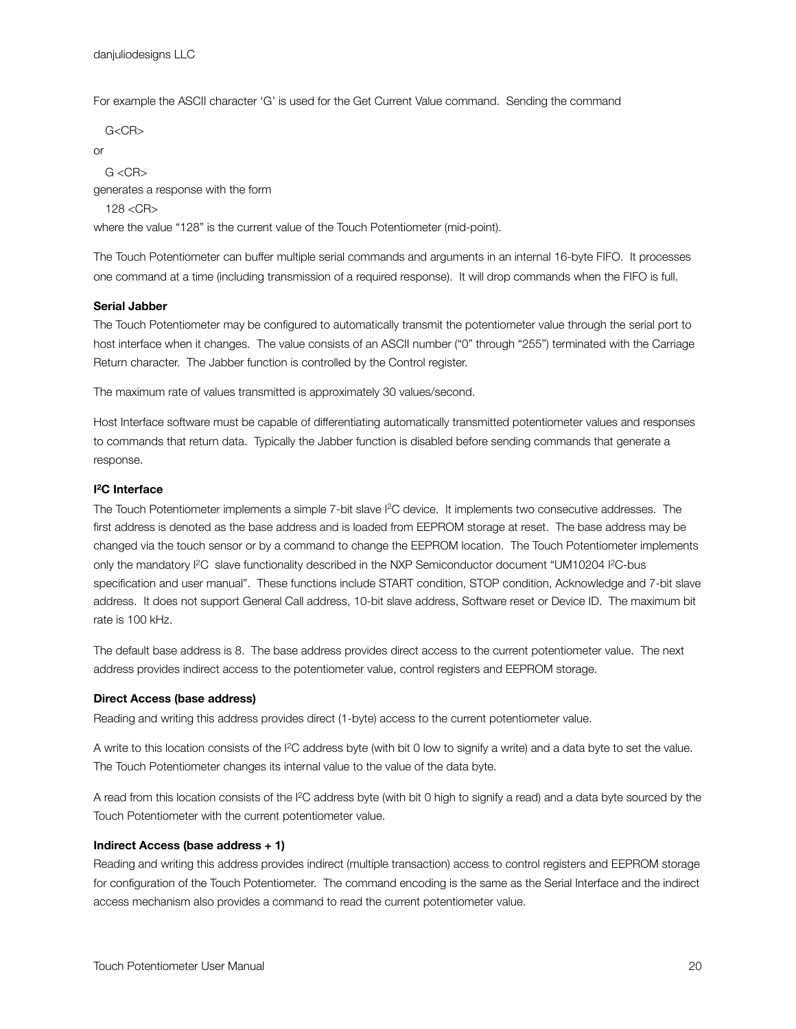For example the ASCII character 'G' is used for the Get Current Value command. Sending the command

```
G<CR>
```
or

 $G < CP$ generates a response with the form

128 <CR>

where the value "128" is the current value of the Touch Potentiometer (mid-point).

The Touch Potentiometer can buffer multiple serial commands and arguments in an internal 16-byte FIFO. It processes one command at a time (including transmission of a required response). It will drop commands when the FIFO is full.

#### **Serial Jabber**

The Touch Potentiometer may be configured to automatically transmit the potentiometer value through the serial port to host interface when it changes. The value consists of an ASCII number ("0" through "255") terminated with the Carriage Return character. The Jabber function is controlled by the Control register.

The maximum rate of values transmitted is approximately 30 values/second.

Host Interface software must be capable of differentiating automatically transmitted potentiometer values and responses to commands that return data. Typically the Jabber function is disabled before sending commands that generate a response.

#### **I 2C Interface**

The Touch Potentiometer implements a simple 7-bit slave I<sup>2</sup>C device. It implements two consecutive addresses. The first address is denoted as the base address and is loaded from EEPROM storage at reset. The base address may be changed via the touch sensor or by a command to change the EEPROM location. The Touch Potentiometer implements only the mandatory I<sup>2</sup>C slave functionality described in the NXP Semiconductor document "UM10204 I<sup>2</sup>C-bus specification and user manual". These functions include START condition, STOP condition, Acknowledge and 7-bit slave address. It does not support General Call address, 10-bit slave address, Software reset or Device ID. The maximum bit rate is 100 kHz.

The default base address is 8. The base address provides direct access to the current potentiometer value. The next address provides indirect access to the potentiometer value, control registers and EEPROM storage.

#### **Direct Access (base address)**

Reading and writing this address provides direct (1-byte) access to the current potentiometer value.

A write to this location consists of the I<sup>2</sup>C address byte (with bit 0 low to signify a write) and a data byte to set the value. The Touch Potentiometer changes its internal value to the value of the data byte.

A read from this location consists of the I<sup>2</sup>C address byte (with bit 0 high to signify a read) and a data byte sourced by the Touch Potentiometer with the current potentiometer value.

#### **Indirect Access (base address + 1)**

Reading and writing this address provides indirect (multiple transaction) access to control registers and EEPROM storage for configuration of the Touch Potentiometer. The command encoding is the same as the Serial Interface and the indirect access mechanism also provides a command to read the current potentiometer value.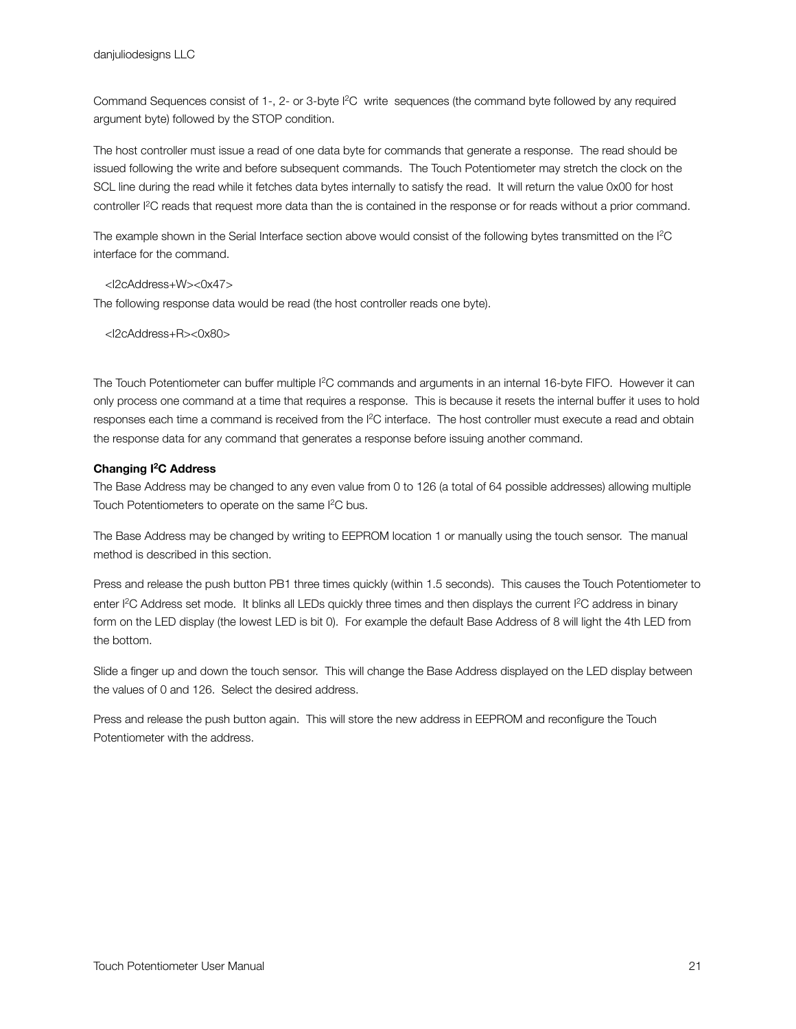Command Sequences consist of 1-, 2- or 3-byte I<sup>2</sup>C write sequences (the command byte followed by any required argument byte) followed by the STOP condition.

The host controller must issue a read of one data byte for commands that generate a response. The read should be issued following the write and before subsequent commands. The Touch Potentiometer may stretch the clock on the SCL line during the read while it fetches data bytes internally to satisfy the read. It will return the value 0x00 for host controller I<sup>2</sup>C reads that request more data than the is contained in the response or for reads without a prior command.

The example shown in the Serial Interface section above would consist of the following bytes transmitted on the I2C interface for the command.

```
<I2cAddress+W><0x47>
```
The following response data would be read (the host controller reads one byte).

<I2cAddress+R><0x80>

The Touch Potentiometer can buffer multiple <sup>12</sup>C commands and arguments in an internal 16-byte FIFO. However it can only process one command at a time that requires a response. This is because it resets the internal buffer it uses to hold responses each time a command is received from the I2C interface. The host controller must execute a read and obtain the response data for any command that generates a response before issuing another command.

#### <span id="page-21-0"></span>**Changing I2C Address**

The Base Address may be changed to any even value from 0 to 126 (a total of 64 possible addresses) allowing multiple Touch Potentiometers to operate on the same I2C bus.

The Base Address may be changed by writing to EEPROM location 1 or manually using the touch sensor. The manual method is described in this section.

Press and release the push button PB1 three times quickly (within 1.5 seconds). This causes the Touch Potentiometer to enter I<sup>2</sup>C Address set mode. It blinks all LEDs quickly three times and then displays the current I<sup>2</sup>C address in binary form on the LED display (the lowest LED is bit 0). For example the default Base Address of 8 will light the 4th LED from the bottom.

Slide a finger up and down the touch sensor. This will change the Base Address displayed on the LED display between the values of 0 and 126. Select the desired address.

Press and release the push button again. This will store the new address in EEPROM and reconfigure the Touch Potentiometer with the address.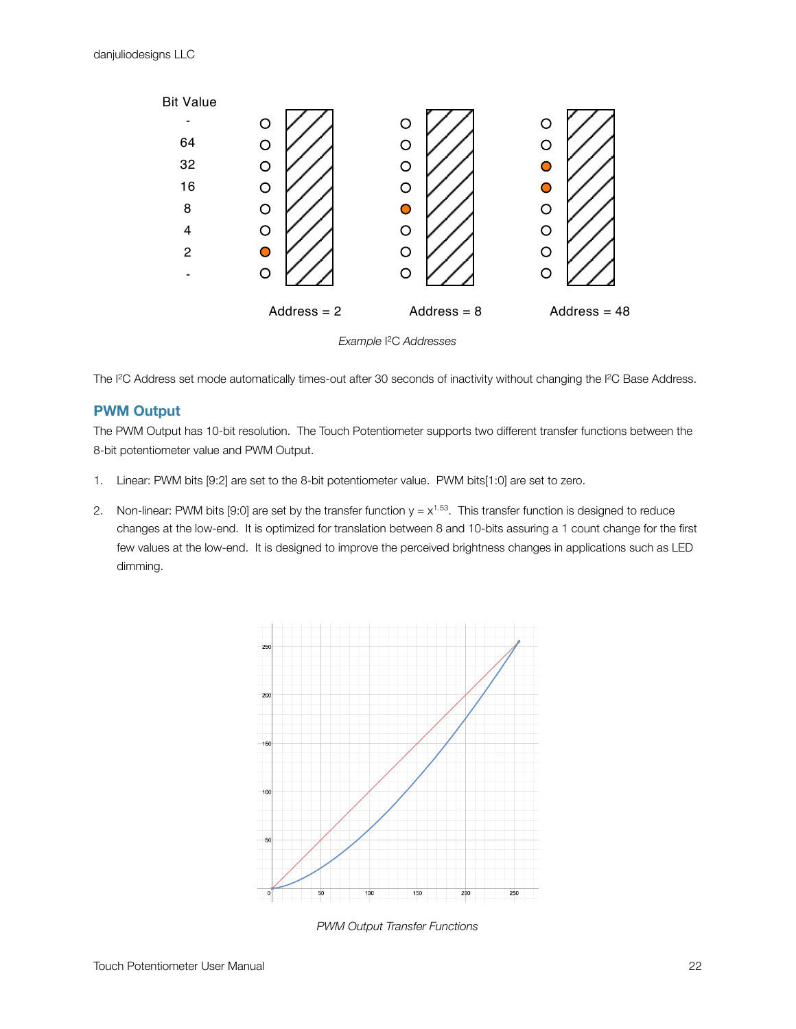

*Example* I 2C *Addresses*

The I<sup>2</sup>C Address set mode automatically times-out after 30 seconds of inactivity without changing the I<sup>2</sup>C Base Address.

#### <span id="page-22-0"></span>**PWM Output**

The PWM Output has 10-bit resolution. The Touch Potentiometer supports two different transfer functions between the 8-bit potentiometer value and PWM Output.

- 1. Linear: PWM bits [9:2] are set to the 8-bit potentiometer value. PWM bits[1:0] are set to zero.
- 2. Non-linear: PWM bits [9:0] are set by the transfer function  $y = x^{1.53}$ . This transfer function is designed to reduce changes at the low-end. It is optimized for translation between 8 and 10-bits assuring a 1 count change for the first few values at the low-end. It is designed to improve the perceived brightness changes in applications such as LED dimming.



*PWM Output Transfer Functions*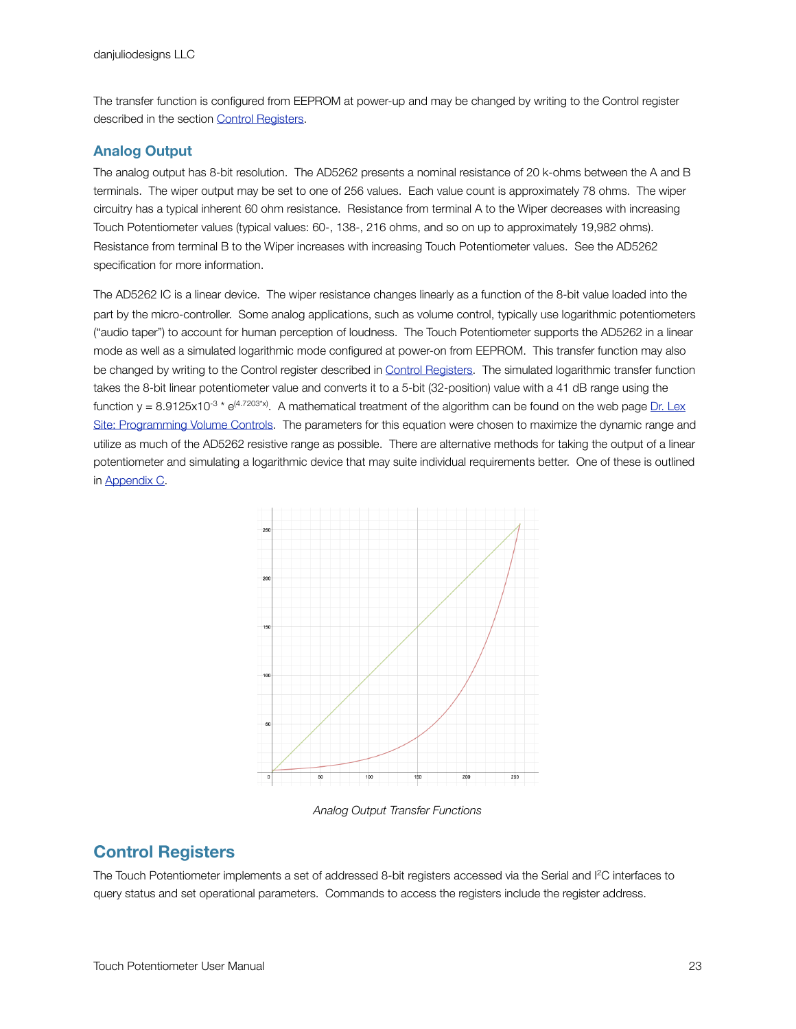The transfer function is configured from EEPROM at power-up and may be changed by writing to the Control register described in the section [Control Registers.](#page-23-1)

#### <span id="page-23-0"></span>**Analog Output**

The analog output has 8-bit resolution. The AD5262 presents a nominal resistance of 20 k-ohms between the A and B terminals. The wiper output may be set to one of 256 values. Each value count is approximately 78 ohms. The wiper circuitry has a typical inherent 60 ohm resistance. Resistance from terminal A to the Wiper decreases with increasing Touch Potentiometer values (typical values: 60-, 138-, 216 ohms, and so on up to approximately 19,982 ohms). Resistance from terminal B to the Wiper increases with increasing Touch Potentiometer values. See the AD5262 specification for more information.

The AD5262 IC is a linear device. The wiper resistance changes linearly as a function of the 8-bit value loaded into the part by the micro-controller. Some analog applications, such as volume control, typically use logarithmic potentiometers ("audio taper") to account for human perception of loudness. The Touch Potentiometer supports the AD5262 in a linear mode as well as a simulated logarithmic mode configured at power-on from EEPROM. This transfer function may also be changed by writing to the Control register described in [Control Registers.](#page-23-1) The simulated logarithmic transfer function takes the 8-bit linear potentiometer value and converts it to a 5-bit (32-position) value with a 41 dB range using the function  $y = 8.9125 \times 10^{-3}$  \*  $e^{(4.7203 \times)}$ . A mathematical treatment of the algorithm can be found on the web page Dr. Lex [Site: Programming Volume Controls](http://www.dr-lex.be/info-stuff/volumecontrols.html). The parameters for this equation were chosen to maximize the dynamic range and utilize as much of the AD5262 resistive range as possible. There are alternative methods for taking the output of a linear potentiometer and simulating a logarithmic device that may suite individual requirements better. One of these is outlined in [Appendix C.](#page-38-0)



*Analog Output Transfer Functions*

### <span id="page-23-1"></span>**Control Registers**

The Touch Potentiometer implements a set of addressed 8-bit registers accessed via the Serial and I2C interfaces to query status and set operational parameters. Commands to access the registers include the register address.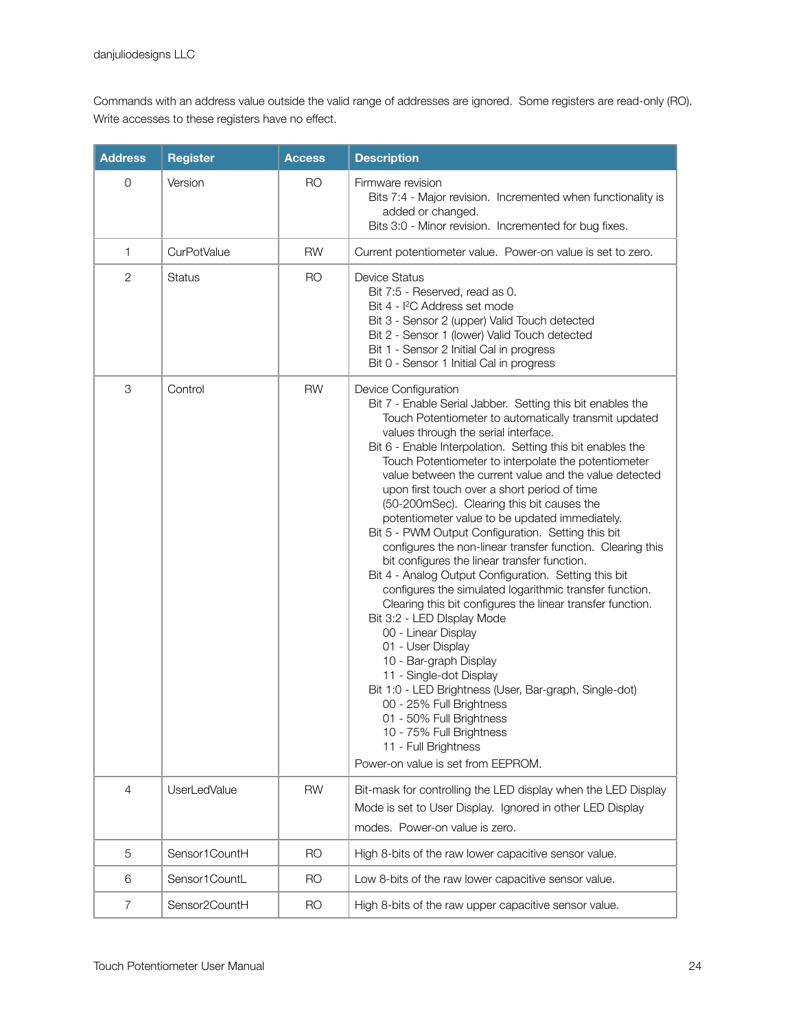Commands with an address value outside the valid range of addresses are ignored. Some registers are read-only (RO). Write accesses to these registers have no effect.

| <b>Address</b> | <b>Register</b>     | <b>Access</b> | <b>Description</b>                                                                                                                                                                                                                                                                                                                                                                                                                                                                                                                                                                                                                                                                                                                                                                                                                                                                                                                                                                                                                                                                                                                                                                                                   |  |  |  |
|----------------|---------------------|---------------|----------------------------------------------------------------------------------------------------------------------------------------------------------------------------------------------------------------------------------------------------------------------------------------------------------------------------------------------------------------------------------------------------------------------------------------------------------------------------------------------------------------------------------------------------------------------------------------------------------------------------------------------------------------------------------------------------------------------------------------------------------------------------------------------------------------------------------------------------------------------------------------------------------------------------------------------------------------------------------------------------------------------------------------------------------------------------------------------------------------------------------------------------------------------------------------------------------------------|--|--|--|
| $\mathsf{O}$   | Version             | <b>RO</b>     | Firmware revision<br>Bits 7:4 - Major revision. Incremented when functionality is<br>added or changed.<br>Bits 3:0 - Minor revision. Incremented for bug fixes.                                                                                                                                                                                                                                                                                                                                                                                                                                                                                                                                                                                                                                                                                                                                                                                                                                                                                                                                                                                                                                                      |  |  |  |
| 1              | <b>CurPotValue</b>  | <b>RW</b>     | Current potentiometer value. Power-on value is set to zero.                                                                                                                                                                                                                                                                                                                                                                                                                                                                                                                                                                                                                                                                                                                                                                                                                                                                                                                                                                                                                                                                                                                                                          |  |  |  |
| $\overline{c}$ | <b>Status</b>       | <b>RO</b>     | <b>Device Status</b><br>Bit 7:5 - Reserved, read as 0.<br>Bit 4 - I <sup>2</sup> C Address set mode<br>Bit 3 - Sensor 2 (upper) Valid Touch detected<br>Bit 2 - Sensor 1 (lower) Valid Touch detected<br>Bit 1 - Sensor 2 Initial Cal in progress<br>Bit 0 - Sensor 1 Initial Cal in progress                                                                                                                                                                                                                                                                                                                                                                                                                                                                                                                                                                                                                                                                                                                                                                                                                                                                                                                        |  |  |  |
| 3              | Control             | <b>RW</b>     | Device Configuration<br>Bit 7 - Enable Serial Jabber. Setting this bit enables the<br>Touch Potentiometer to automatically transmit updated<br>values through the serial interface.<br>Bit 6 - Enable Interpolation. Setting this bit enables the<br>Touch Potentiometer to interpolate the potentiometer<br>value between the current value and the value detected<br>upon first touch over a short period of time<br>(50-200mSec). Clearing this bit causes the<br>potentiometer value to be updated immediately.<br>Bit 5 - PWM Output Configuration. Setting this bit<br>configures the non-linear transfer function. Clearing this<br>bit configures the linear transfer function.<br>Bit 4 - Analog Output Configuration. Setting this bit<br>configures the simulated logarithmic transfer function.<br>Clearing this bit configures the linear transfer function.<br>Bit 3:2 - LED DIsplay Mode<br>00 - Linear Display<br>01 - User Display<br>10 - Bar-graph Display<br>11 - Single-dot Display<br>Bit 1:0 - LED Brightness (User, Bar-graph, Single-dot)<br>00 - 25% Full Brightness<br>01 - 50% Full Brightness<br>10 - 75% Full Brightness<br>11 - Full Brightness<br>Power-on value is set from EEPROM. |  |  |  |
| $\overline{4}$ | <b>UserLedValue</b> | <b>RW</b>     | Bit-mask for controlling the LED display when the LED Display<br>Mode is set to User Display. Ignored in other LED Display<br>modes. Power-on value is zero.                                                                                                                                                                                                                                                                                                                                                                                                                                                                                                                                                                                                                                                                                                                                                                                                                                                                                                                                                                                                                                                         |  |  |  |
| 5              | Sensor1CountH       | <b>RO</b>     | High 8-bits of the raw lower capacitive sensor value.                                                                                                                                                                                                                                                                                                                                                                                                                                                                                                                                                                                                                                                                                                                                                                                                                                                                                                                                                                                                                                                                                                                                                                |  |  |  |
| 6              | Sensor1CountL       | RO            | Low 8-bits of the raw lower capacitive sensor value.                                                                                                                                                                                                                                                                                                                                                                                                                                                                                                                                                                                                                                                                                                                                                                                                                                                                                                                                                                                                                                                                                                                                                                 |  |  |  |
| $\overline{7}$ | Sensor2CountH       | <b>RO</b>     | High 8-bits of the raw upper capacitive sensor value.                                                                                                                                                                                                                                                                                                                                                                                                                                                                                                                                                                                                                                                                                                                                                                                                                                                                                                                                                                                                                                                                                                                                                                |  |  |  |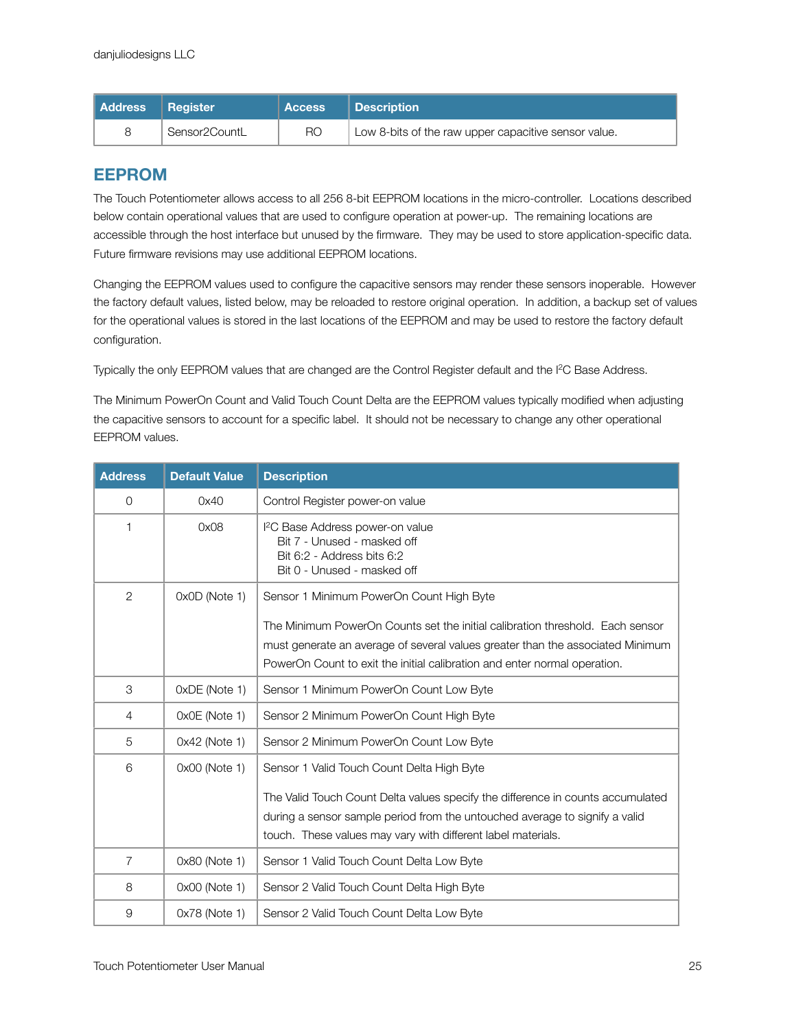| <b>Address</b> | Register      | <b>Access</b> | <b>Description</b>                                   |
|----------------|---------------|---------------|------------------------------------------------------|
|                | Sensor2CountL | RO            | Low 8-bits of the raw upper capacitive sensor value. |

# <span id="page-25-0"></span>**EEPROM**

The Touch Potentiometer allows access to all 256 8-bit EEPROM locations in the micro-controller. Locations described below contain operational values that are used to configure operation at power-up. The remaining locations are accessible through the host interface but unused by the firmware. They may be used to store application-specific data. Future firmware revisions may use additional EEPROM locations.

Changing the EEPROM values used to configure the capacitive sensors may render these sensors inoperable. However the factory default values, listed below, may be reloaded to restore original operation. In addition, a backup set of values for the operational values is stored in the last locations of the EEPROM and may be used to restore the factory default configuration.

Typically the only EEPROM values that are changed are the Control Register default and the I<sup>2</sup>C Base Address.

The Minimum PowerOn Count and Valid Touch Count Delta are the EEPROM values typically modified when adjusting the capacitive sensors to account for a specific label. It should not be necessary to change any other operational EEPROM values.

| <b>Address</b> | <b>Default Value</b> | <b>Description</b>                                                                                                                                                                                                                                                           |
|----------------|----------------------|------------------------------------------------------------------------------------------------------------------------------------------------------------------------------------------------------------------------------------------------------------------------------|
| $\Omega$       | 0x40                 | Control Register power-on value                                                                                                                                                                                                                                              |
| 1              | 0x08                 | <sup>2</sup> C Base Address power-on value<br>Bit 7 - Unused - masked off<br>Bit 6:2 - Address bits 6:2<br>Bit 0 - Unused - masked off                                                                                                                                       |
| $\overline{2}$ | OxOD (Note 1)        | Sensor 1 Minimum PowerOn Count High Byte                                                                                                                                                                                                                                     |
|                |                      | The Minimum PowerOn Counts set the initial calibration threshold. Each sensor<br>must generate an average of several values greater than the associated Minimum<br>PowerOn Count to exit the initial calibration and enter normal operation.                                 |
| 3              | OxDE (Note 1)        | Sensor 1 Minimum PowerOn Count Low Byte                                                                                                                                                                                                                                      |
| 4              | OxOE (Note 1)        | Sensor 2 Minimum PowerOn Count High Byte                                                                                                                                                                                                                                     |
| 5              | 0x42 (Note 1)        | Sensor 2 Minimum PowerOn Count Low Byte                                                                                                                                                                                                                                      |
| 6              | 0x00 (Note 1)        | Sensor 1 Valid Touch Count Delta High Byte<br>The Valid Touch Count Delta values specify the difference in counts accumulated<br>during a sensor sample period from the untouched average to signify a valid<br>touch. These values may vary with different label materials. |
| $\overline{7}$ | 0x80 (Note 1)        | Sensor 1 Valid Touch Count Delta Low Byte                                                                                                                                                                                                                                    |
| 8              | 0x00 (Note 1)        | Sensor 2 Valid Touch Count Delta High Byte                                                                                                                                                                                                                                   |
| 9              | 0x78 (Note 1)        | Sensor 2 Valid Touch Count Delta Low Byte                                                                                                                                                                                                                                    |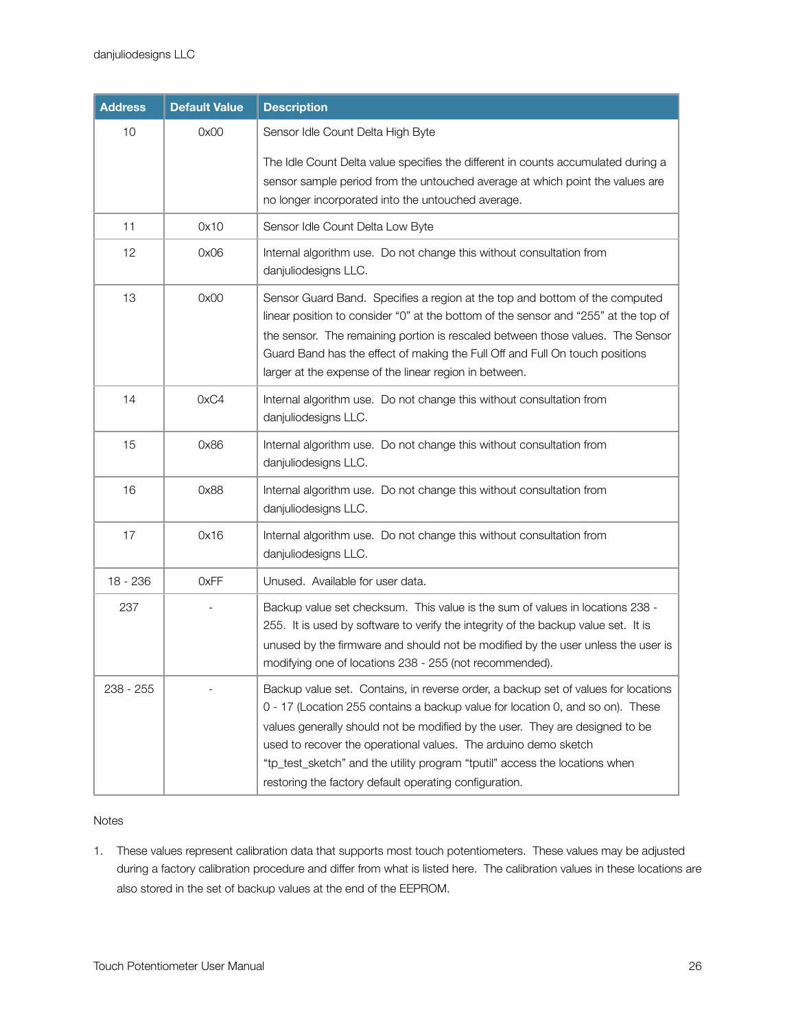| <b>Address</b> | <b>Default Value</b> | <b>Description</b>                                                                                                                                                                                                                                                                                                                                                                                                                                               |  |  |  |
|----------------|----------------------|------------------------------------------------------------------------------------------------------------------------------------------------------------------------------------------------------------------------------------------------------------------------------------------------------------------------------------------------------------------------------------------------------------------------------------------------------------------|--|--|--|
| 10             | 0x00                 | Sensor Idle Count Delta High Byte                                                                                                                                                                                                                                                                                                                                                                                                                                |  |  |  |
|                |                      | The Idle Count Delta value specifies the different in counts accumulated during a<br>sensor sample period from the untouched average at which point the values are<br>no longer incorporated into the untouched average.                                                                                                                                                                                                                                         |  |  |  |
| 11             | 0x10                 | Sensor Idle Count Delta Low Byte                                                                                                                                                                                                                                                                                                                                                                                                                                 |  |  |  |
| 12             | 0x06                 | Internal algorithm use. Do not change this without consultation from<br>danjuliodesigns LLC.                                                                                                                                                                                                                                                                                                                                                                     |  |  |  |
| 13             | 0x00                 | Sensor Guard Band. Specifies a region at the top and bottom of the computed<br>linear position to consider "0" at the bottom of the sensor and "255" at the top of<br>the sensor. The remaining portion is rescaled between those values. The Sensor<br>Guard Band has the effect of making the Full Off and Full On touch positions<br>larger at the expense of the linear region in between.                                                                   |  |  |  |
| 14             | 0xC4                 | Internal algorithm use. Do not change this without consultation from<br>danjuliodesigns LLC.                                                                                                                                                                                                                                                                                                                                                                     |  |  |  |
| 15             | 0x86                 | Internal algorithm use. Do not change this without consultation from<br>danjuliodesigns LLC.                                                                                                                                                                                                                                                                                                                                                                     |  |  |  |
| 16             | 0x88                 | Internal algorithm use. Do not change this without consultation from<br>danjuliodesigns LLC.                                                                                                                                                                                                                                                                                                                                                                     |  |  |  |
| 17             | 0x16                 | Internal algorithm use. Do not change this without consultation from<br>danjuliodesigns LLC.                                                                                                                                                                                                                                                                                                                                                                     |  |  |  |
| 18 - 236       | 0xFF                 | Unused. Available for user data.                                                                                                                                                                                                                                                                                                                                                                                                                                 |  |  |  |
| 237            |                      | Backup value set checksum. This value is the sum of values in locations 238 -<br>255. It is used by software to verify the integrity of the backup value set. It is<br>unused by the firmware and should not be modified by the user unless the user is<br>modifying one of locations 238 - 255 (not recommended).                                                                                                                                               |  |  |  |
| 238 - 255      |                      | Backup value set. Contains, in reverse order, a backup set of values for locations<br>0 - 17 (Location 255 contains a backup value for location 0, and so on). These<br>values generally should not be modified by the user. They are designed to be<br>used to recover the operational values. The arduino demo sketch<br>"tp_test_sketch" and the utility program "tputil" access the locations when<br>restoring the factory default operating configuration. |  |  |  |

#### Notes

1. These values represent calibration data that supports most touch potentiometers. These values may be adjusted during a factory calibration procedure and differ from what is listed here. The calibration values in these locations are also stored in the set of backup values at the end of the EEPROM.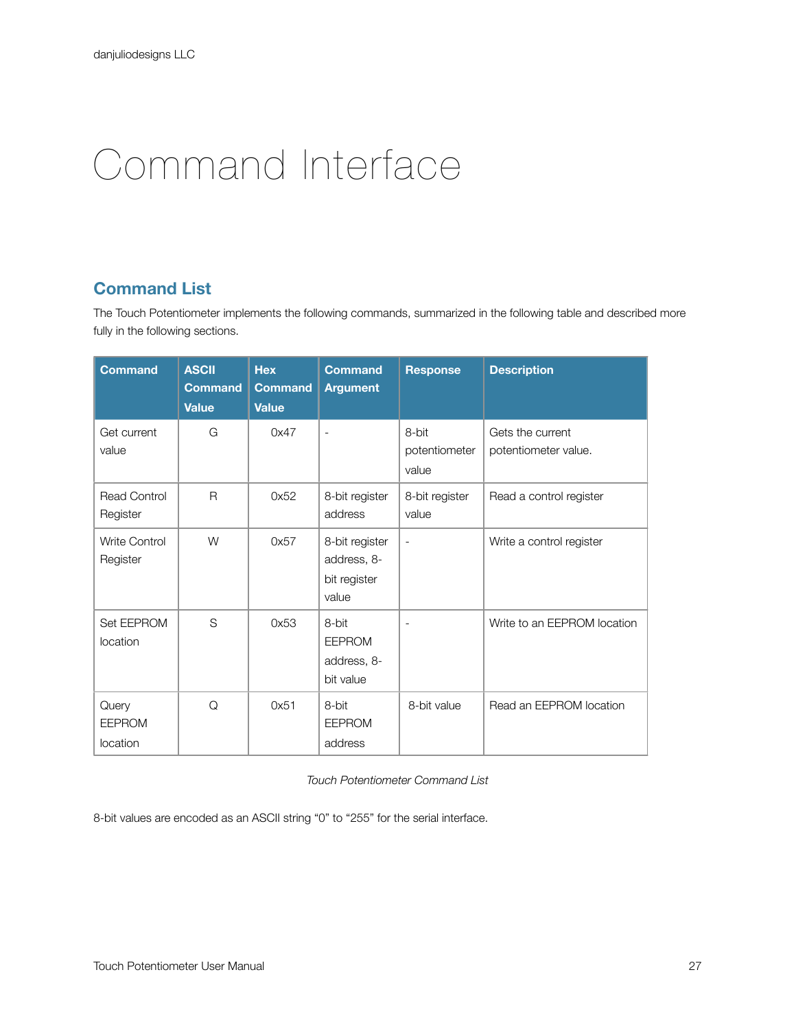# <span id="page-27-0"></span>Command Interface

# <span id="page-27-1"></span>**Command List**

The Touch Potentiometer implements the following commands, summarized in the following table and described more fully in the following sections.

| <b>Command</b>                     | <b>ASCII</b><br><b>Command</b><br><b>Value</b> | <b>Hex</b><br><b>Command</b><br><b>Value</b> | <b>Command</b><br><b>Argument</b>                      | <b>Response</b>                 | <b>Description</b>                       |
|------------------------------------|------------------------------------------------|----------------------------------------------|--------------------------------------------------------|---------------------------------|------------------------------------------|
| Get current<br>value               | G                                              | 0x47                                         | $\overline{a}$                                         | 8-bit<br>potentiometer<br>value | Gets the current<br>potentiometer value. |
| <b>Read Control</b><br>Register    | $\mathsf{R}$                                   | 0x52                                         | 8-bit register<br>address                              | 8-bit register<br>value         | Read a control register                  |
| <b>Write Control</b><br>Register   | W                                              | 0x57                                         | 8-bit register<br>address, 8-<br>bit register<br>value | $\overline{\phantom{a}}$        | Write a control register                 |
| Set EEPROM<br>location             | S                                              | 0x53                                         | 8-bit<br><b>EEPROM</b><br>address, 8-<br>bit value     | ٠                               | Write to an EEPROM location              |
| Query<br><b>EEPROM</b><br>location | Q                                              | 0x51                                         | 8-bit<br><b>EEPROM</b><br>address                      | 8-bit value                     | Read an EEPROM location                  |

*Touch Potentiometer Command List*

8-bit values are encoded as an ASCII string "0" to "255" for the serial interface.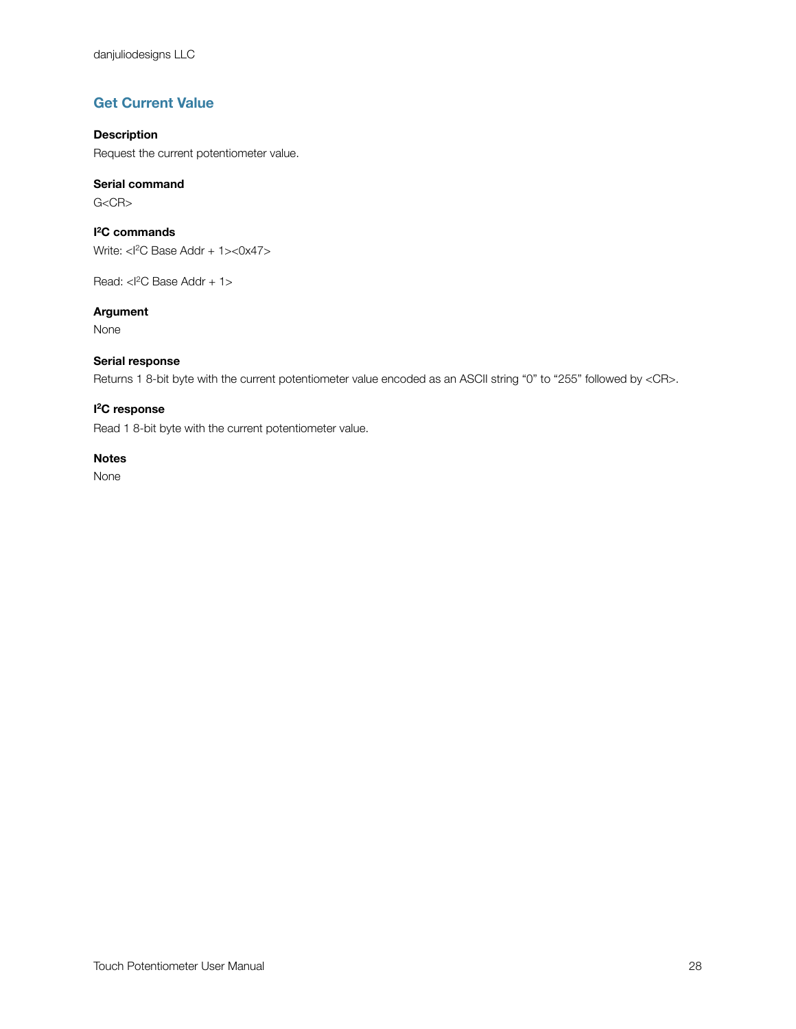## <span id="page-28-0"></span>**Get Current Value**

#### **Description**

Request the current potentiometer value.

#### **Serial command**

 $G < C R$ 

**I 2C commands** Write: <I<sup>2</sup>C Base Addr + 1><0x47>

Read:  $\langle$ <sup>2</sup>C Base Addr + 1>

#### **Argument**

None

#### **Serial response**

Returns 1 8-bit byte with the current potentiometer value encoded as an ASCII string "0" to "255" followed by <CR>.

#### **I 2C response**

Read 1 8-bit byte with the current potentiometer value.

#### **Notes**

None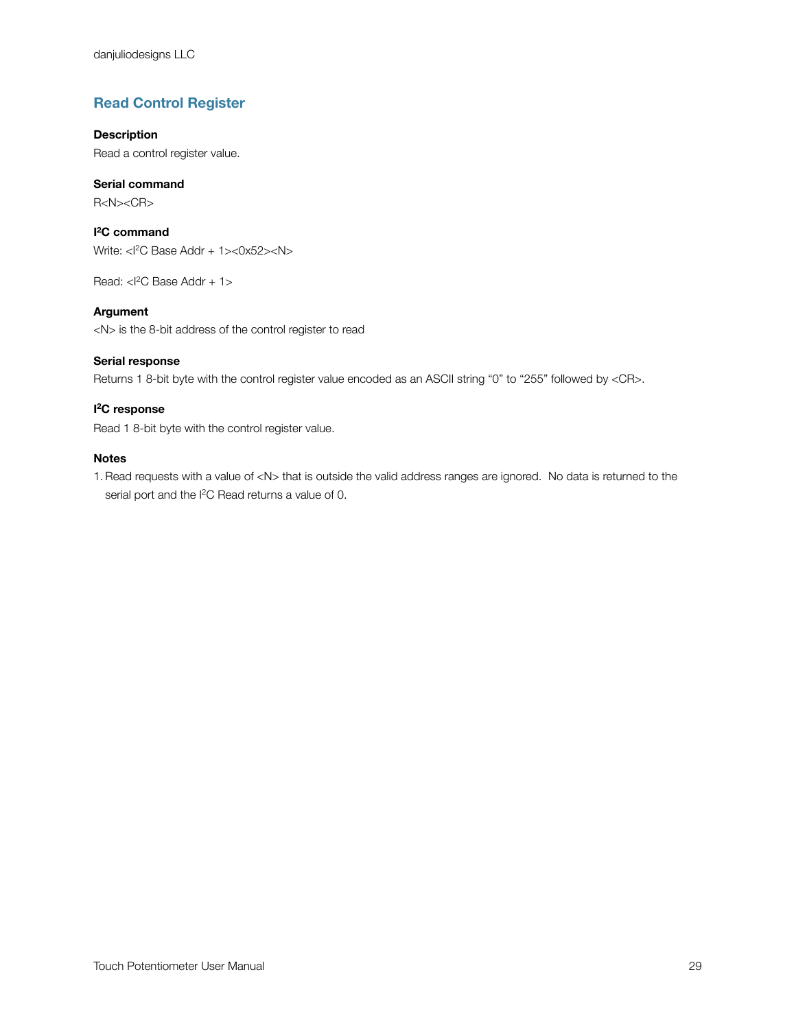### <span id="page-29-0"></span>**Read Control Register**

#### **Description**

Read a control register value.

#### **Serial command**

R<N><CR>

**I 2C command** Write: <I<sup>2</sup>C Base Addr + 1><0x52><N>

Read:  $\langle$ <sup>2</sup>C Base Addr + 1>

#### **Argument**

<N> is the 8-bit address of the control register to read

#### **Serial response**

Returns 1 8-bit byte with the control register value encoded as an ASCII string "0" to "255" followed by <CR>.

#### **I 2C response**

Read 1 8-bit byte with the control register value.

#### **Notes**

1.Read requests with a value of <N> that is outside the valid address ranges are ignored. No data is returned to the serial port and the I<sup>2</sup>C Read returns a value of 0.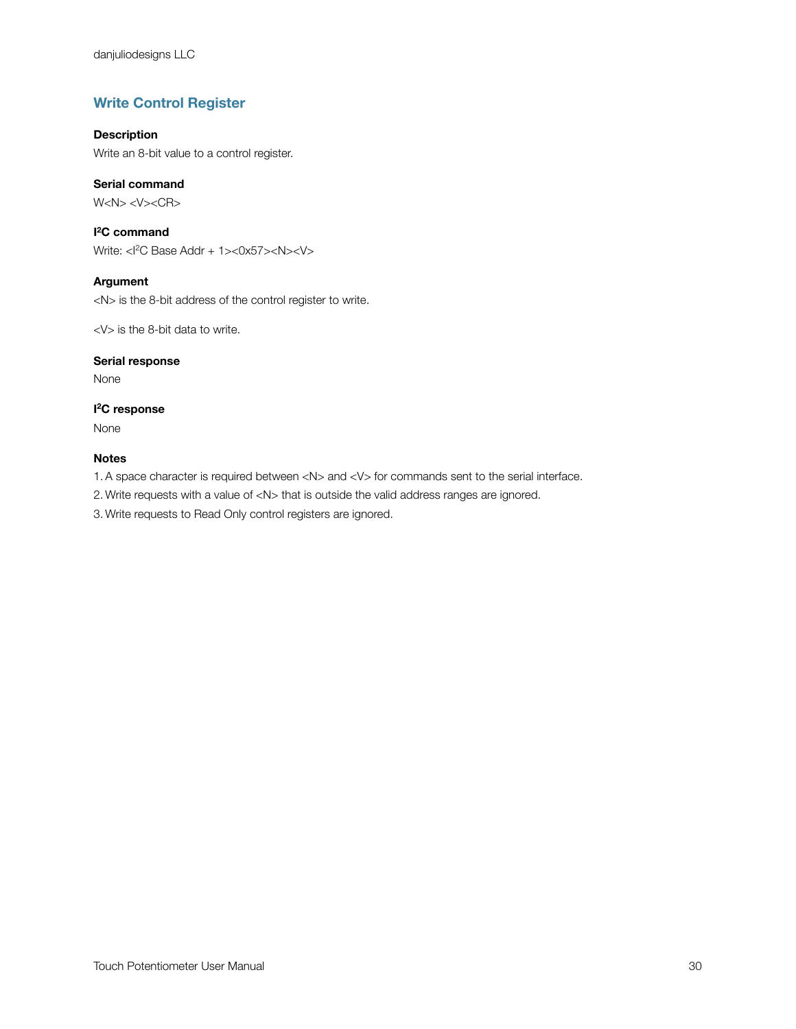### <span id="page-30-0"></span>**Write Control Register**

#### **Description**

Write an 8-bit value to a control register.

#### **Serial command**

W<N> <V><CR>

**I 2C command** Write: <I<sup>2</sup>C Base Addr + 1><0x57><N><V>

#### **Argument**

<N> is the 8-bit address of the control register to write.

<V> is the 8-bit data to write.

#### **Serial response**

None

#### **I 2C response**

None

#### **Notes**

1. A space character is required between <N> and <V> for commands sent to the serial interface.

2. Write requests with a value of <N> that is outside the valid address ranges are ignored.

3. Write requests to Read Only control registers are ignored.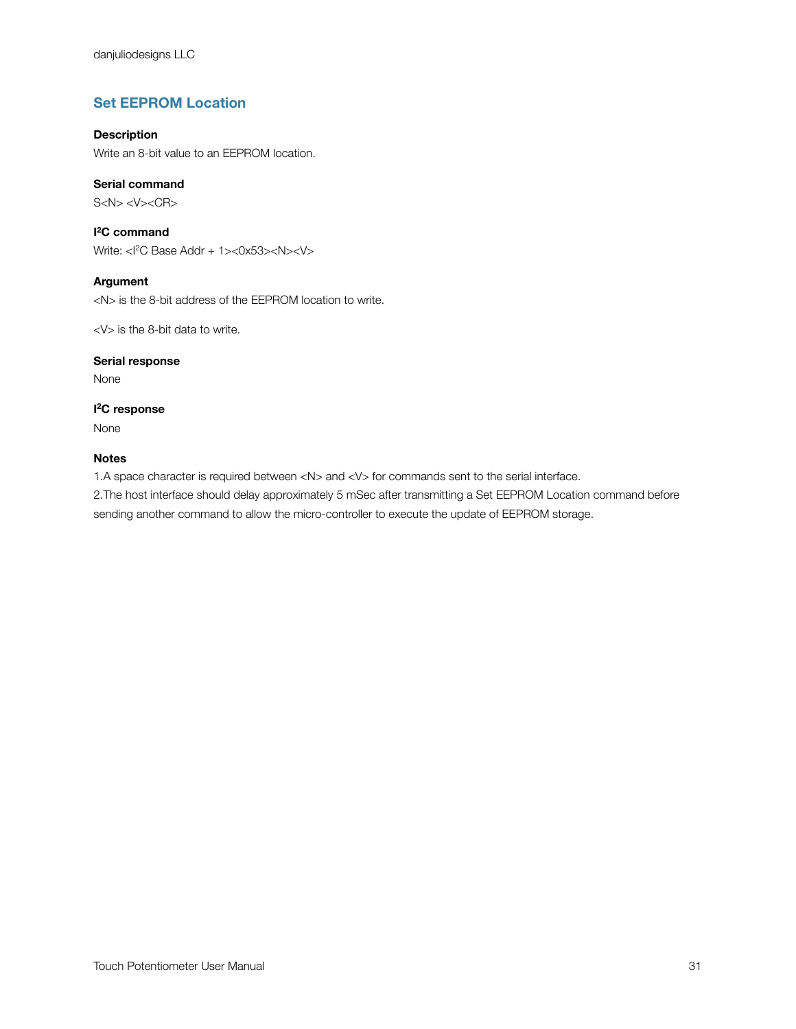### <span id="page-31-0"></span>**Set EEPROM Location**

#### **Description**

Write an 8-bit value to an EEPROM location.

#### **Serial command**

S<N> <V><CR>

**I 2C command** Write: <I<sup>2</sup>C Base Addr + 1><0x53><N><V>

#### **Argument**

<N> is the 8-bit address of the EEPROM location to write.

<V> is the 8-bit data to write.

#### **Serial response**

None

#### **I 2C response**

None

#### **Notes**

1.A space character is required between <N> and <V> for commands sent to the serial interface.

2.The host interface should delay approximately 5 mSec after transmitting a Set EEPROM Location command before

sending another command to allow the micro-controller to execute the update of EEPROM storage.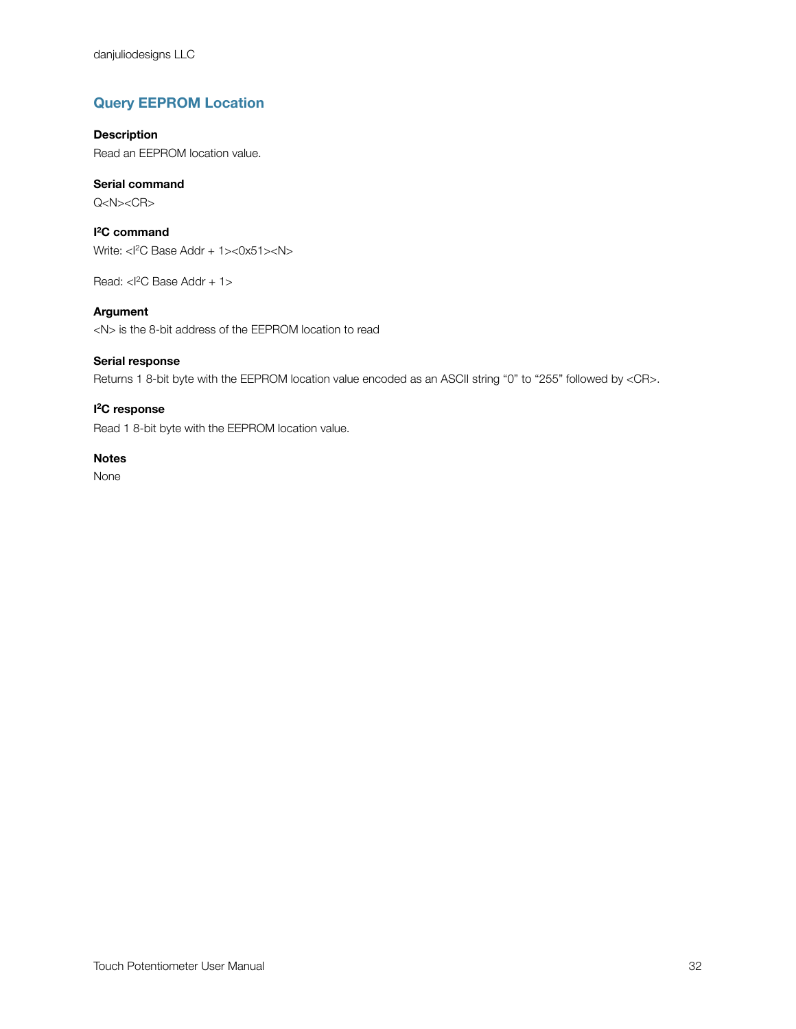## <span id="page-32-0"></span>**Query EEPROM Location**

#### **Description**

Read an EEPROM location value.

#### **Serial command**

 $Q < N > < CR$ 

#### **I 2C command** Write: <I<sup>2</sup>C Base Addr + 1><0x51><N>

Read:  $\langle$ <sup>2</sup>C Base Addr + 1>

#### **Argument**

<N> is the 8-bit address of the EEPROM location to read

#### **Serial response**

Returns 1 8-bit byte with the EEPROM location value encoded as an ASCII string "0" to "255" followed by <CR>.

#### **I 2C response**

Read 1 8-bit byte with the EEPROM location value.

#### **Notes**

None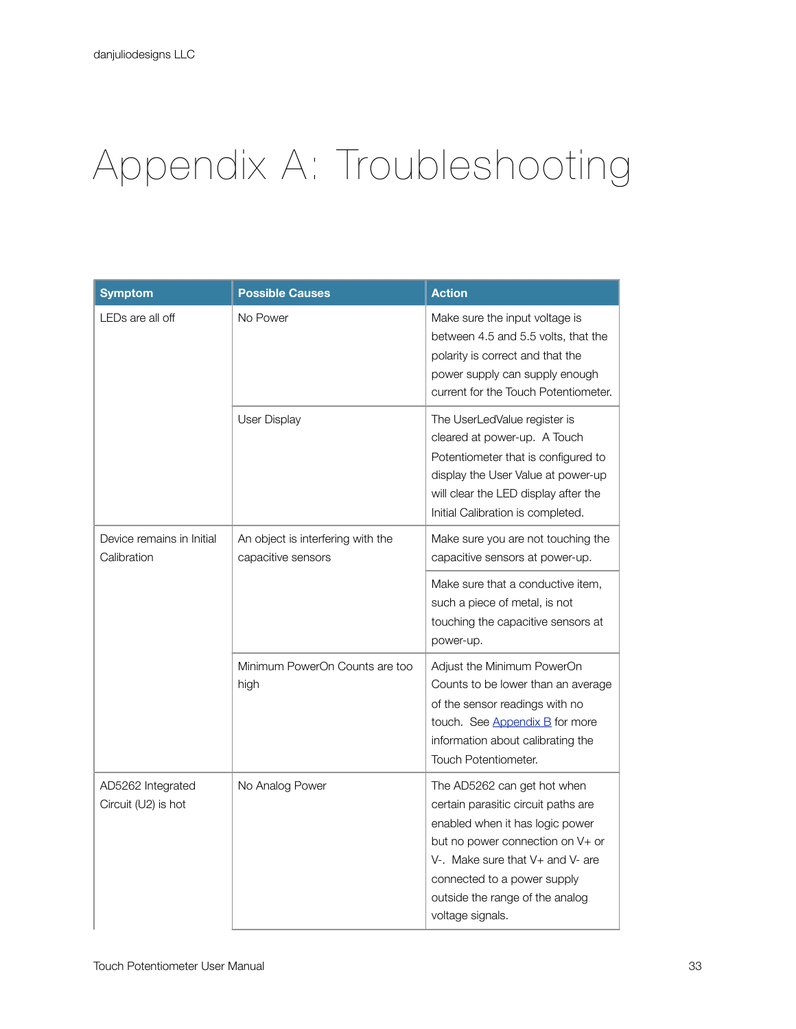# <span id="page-33-0"></span>Appendix A: Troubleshooting

| <b>Symptom</b>                           | <b>Possible Causes</b>                                  | <b>Action</b>                                                                                                                                                                                                                                                                |
|------------------------------------------|---------------------------------------------------------|------------------------------------------------------------------------------------------------------------------------------------------------------------------------------------------------------------------------------------------------------------------------------|
| LEDs are all off                         | No Power                                                | Make sure the input voltage is<br>between 4.5 and 5.5 volts, that the<br>polarity is correct and that the<br>power supply can supply enough<br>current for the Touch Potentiometer.                                                                                          |
|                                          | <b>User Display</b>                                     | The UserLedValue register is<br>cleared at power-up. A Touch<br>Potentiometer that is configured to<br>display the User Value at power-up<br>will clear the LED display after the<br>Initial Calibration is completed.                                                       |
| Device remains in Initial<br>Calibration | An object is interfering with the<br>capacitive sensors | Make sure you are not touching the<br>capacitive sensors at power-up.                                                                                                                                                                                                        |
|                                          |                                                         | Make sure that a conductive item,<br>such a piece of metal, is not<br>touching the capacitive sensors at<br>power-up.                                                                                                                                                        |
|                                          | Minimum PowerOn Counts are too<br>high                  | Adjust the Minimum PowerOn<br>Counts to be lower than an average<br>of the sensor readings with no<br>touch. See Appendix B for more<br>information about calibrating the<br>Touch Potentiometer.                                                                            |
| AD5262 Integrated<br>Circuit (U2) is hot | No Analog Power                                         | The AD5262 can get hot when<br>certain parasitic circuit paths are<br>enabled when it has logic power<br>but no power connection on V+ or<br>$V$ -. Make sure that $V$ + and $V$ - are<br>connected to a power supply<br>outside the range of the analog<br>voltage signals. |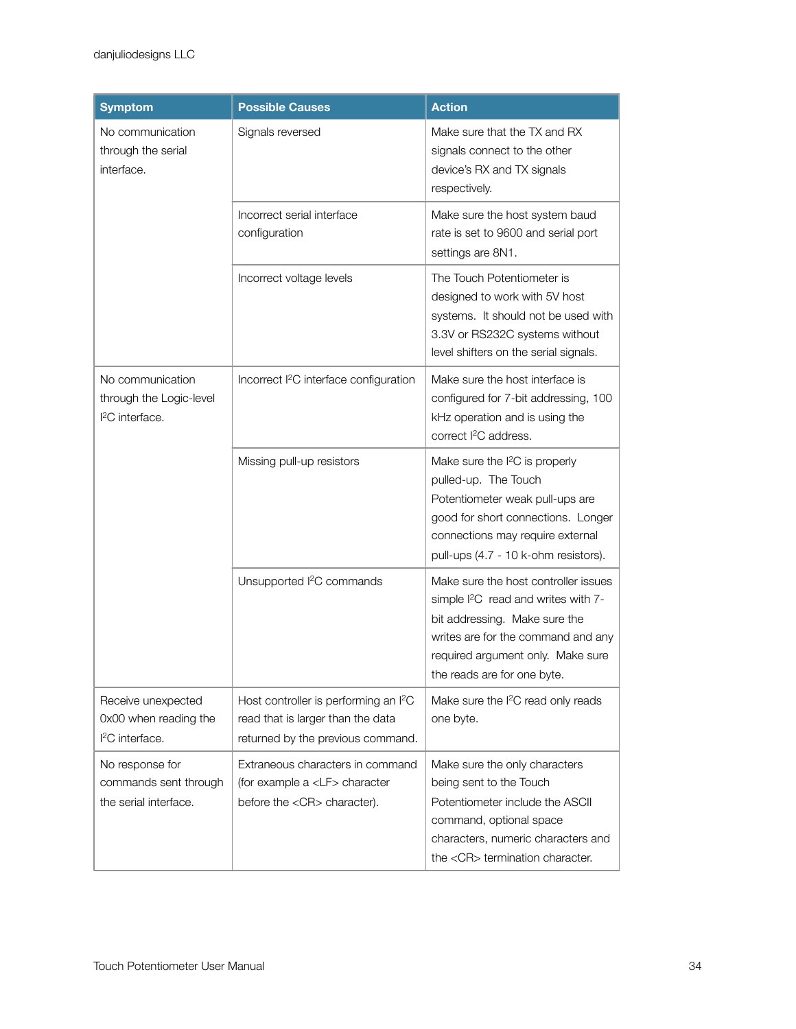| <b>Symptom</b>                                                           | <b>Possible Causes</b>                                                                                                      | <b>Action</b>                                                                                                                                                                                                                      |
|--------------------------------------------------------------------------|-----------------------------------------------------------------------------------------------------------------------------|------------------------------------------------------------------------------------------------------------------------------------------------------------------------------------------------------------------------------------|
| No communication<br>through the serial<br>interface.                     | Signals reversed                                                                                                            | Make sure that the TX and RX<br>signals connect to the other<br>device's RX and TX signals<br>respectively.                                                                                                                        |
|                                                                          | Incorrect serial interface<br>configuration                                                                                 | Make sure the host system baud<br>rate is set to 9600 and serial port<br>settings are 8N1.                                                                                                                                         |
|                                                                          | Incorrect voltage levels                                                                                                    | The Touch Potentiometer is<br>designed to work with 5V host<br>systems. It should not be used with<br>3.3V or RS232C systems without<br>level shifters on the serial signals.                                                      |
| No communication<br>through the Logic-level<br>${}^{12}C$ interface.     | Incorrect I <sup>2</sup> C interface configuration                                                                          | Make sure the host interface is<br>configured for 7-bit addressing, 100<br>kHz operation and is using the<br>correct I <sup>2</sup> C address.                                                                                     |
|                                                                          | Missing pull-up resistors                                                                                                   | Make sure the I <sup>2</sup> C is properly<br>pulled-up. The Touch<br>Potentiometer weak pull-ups are<br>good for short connections. Longer<br>connections may require external<br>pull-ups (4.7 - 10 k-ohm resistors).            |
|                                                                          | Unsupported I <sup>2</sup> C commands                                                                                       | Make sure the host controller issues<br>simple I <sup>2</sup> C read and writes with 7-<br>bit addressing. Make sure the<br>writes are for the command and any<br>required argument only. Make sure<br>the reads are for one byte. |
| Receive unexpected<br>0x00 when reading the<br>${}^{\circ}$ C interface. | Host controller is performing an I <sup>2</sup> C<br>read that is larger than the data<br>returned by the previous command. | Make sure the I <sup>2</sup> C read only reads<br>one byte.                                                                                                                                                                        |
| No response for<br>commands sent through<br>the serial interface.        | Extraneous characters in command<br>(for example a <lf> character<br/>before the <cr> character).</cr></lf>                 | Make sure the only characters<br>being sent to the Touch<br>Potentiometer include the ASCII<br>command, optional space<br>characters, numeric characters and<br>the <cr> termination character.</cr>                               |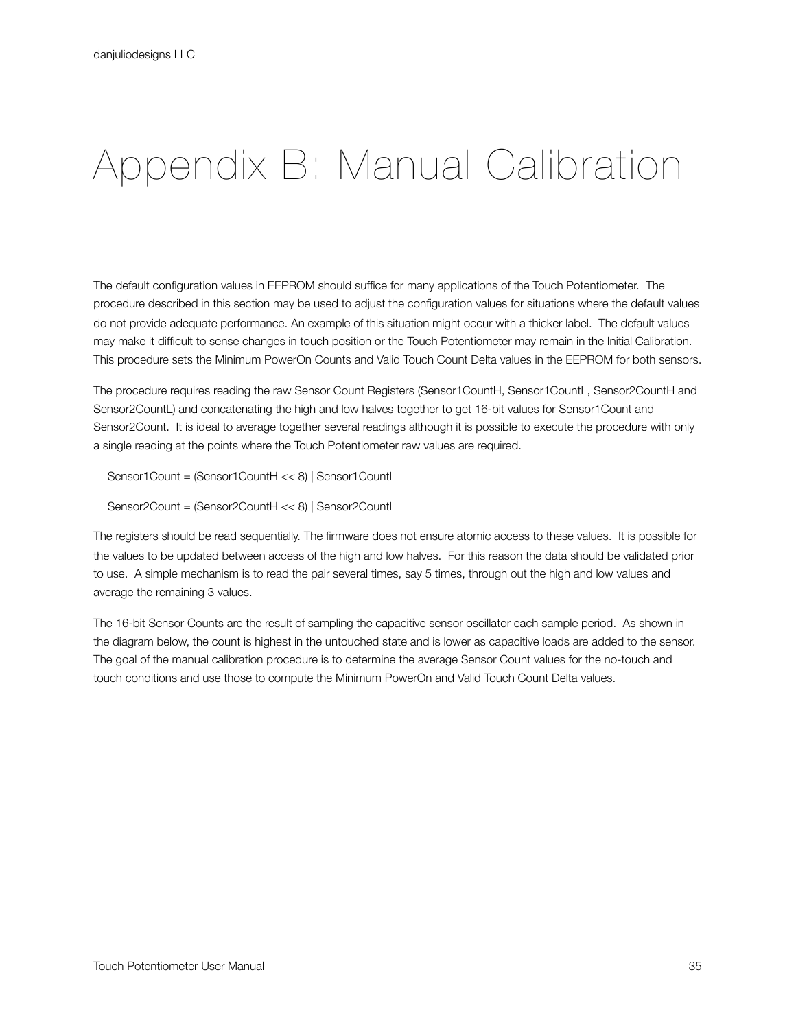# <span id="page-35-0"></span>Appendix B: Manual Calibration

The default configuration values in EEPROM should suffice for many applications of the Touch Potentiometer. The procedure described in this section may be used to adjust the configuration values for situations where the default values do not provide adequate performance. An example of this situation might occur with a thicker label. The default values may make it difficult to sense changes in touch position or the Touch Potentiometer may remain in the Initial Calibration. This procedure sets the Minimum PowerOn Counts and Valid Touch Count Delta values in the EEPROM for both sensors.

The procedure requires reading the raw Sensor Count Registers (Sensor1CountH, Sensor1CountL, Sensor2CountH and Sensor2CountL) and concatenating the high and low halves together to get 16-bit values for Sensor1Count and Sensor2Count. It is ideal to average together several readings although it is possible to execute the procedure with only a single reading at the points where the Touch Potentiometer raw values are required.

Sensor1Count = (Sensor1CountH << 8) | Sensor1CountL

Sensor2Count = (Sensor2CountH << 8) | Sensor2CountL

The registers should be read sequentially. The firmware does not ensure atomic access to these values. It is possible for the values to be updated between access of the high and low halves. For this reason the data should be validated prior to use. A simple mechanism is to read the pair several times, say 5 times, through out the high and low values and average the remaining 3 values.

The 16-bit Sensor Counts are the result of sampling the capacitive sensor oscillator each sample period. As shown in the diagram below, the count is highest in the untouched state and is lower as capacitive loads are added to the sensor. The goal of the manual calibration procedure is to determine the average Sensor Count values for the no-touch and touch conditions and use those to compute the Minimum PowerOn and Valid Touch Count Delta values.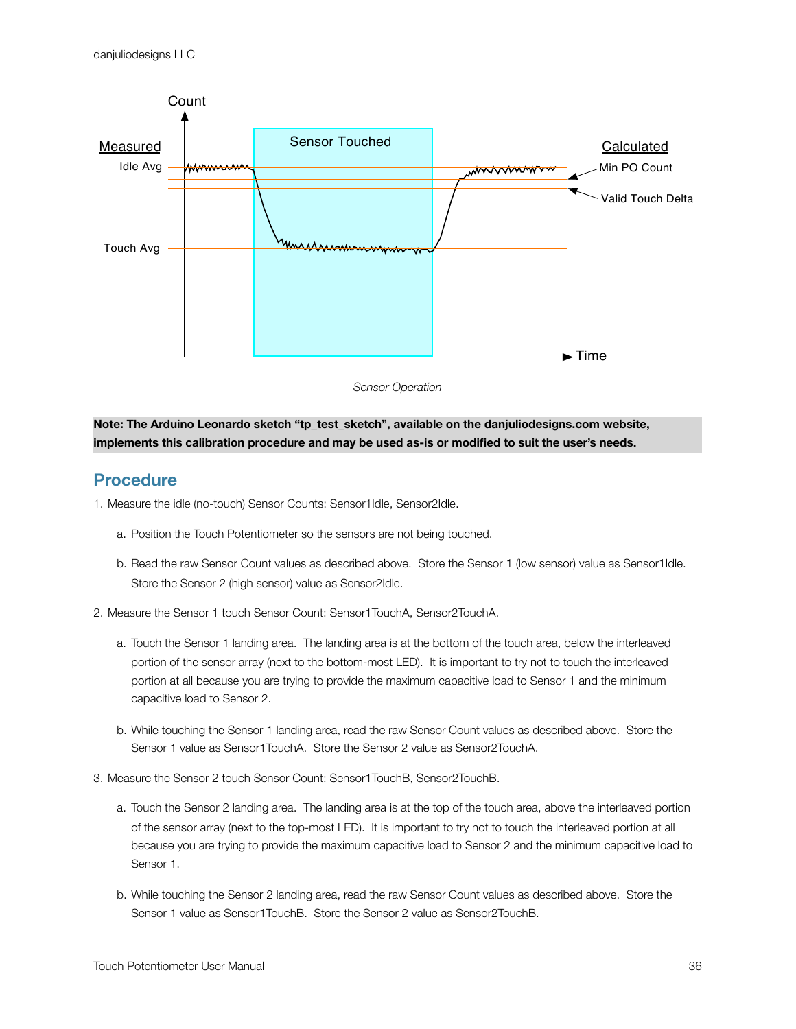

*Sensor Operation*

#### Note: The Arduino Leonardo sketch "tp\_test\_sketch", available on the danjuliodesigns.com website, **implements this calibration procedure and may be used as-is or modified to suit the user's needs.**

## <span id="page-36-0"></span>**Procedure**

- 1. Measure the idle (no-touch) Sensor Counts: Sensor1Idle, Sensor2Idle.
	- a. Position the Touch Potentiometer so the sensors are not being touched.
	- b. Read the raw Sensor Count values as described above. Store the Sensor 1 (low sensor) value as Sensor1Idle. Store the Sensor 2 (high sensor) value as Sensor2Idle.
- 2. Measure the Sensor 1 touch Sensor Count: Sensor1TouchA, Sensor2TouchA.
	- a. Touch the Sensor 1 landing area. The landing area is at the bottom of the touch area, below the interleaved portion of the sensor array (next to the bottom-most LED). It is important to try not to touch the interleaved portion at all because you are trying to provide the maximum capacitive load to Sensor 1 and the minimum capacitive load to Sensor 2.
	- b. While touching the Sensor 1 landing area, read the raw Sensor Count values as described above. Store the Sensor 1 value as Sensor1TouchA. Store the Sensor 2 value as Sensor2TouchA.
- 3. Measure the Sensor 2 touch Sensor Count: Sensor1TouchB, Sensor2TouchB.
	- a. Touch the Sensor 2 landing area. The landing area is at the top of the touch area, above the interleaved portion of the sensor array (next to the top-most LED). It is important to try not to touch the interleaved portion at all because you are trying to provide the maximum capacitive load to Sensor 2 and the minimum capacitive load to Sensor 1.
	- b. While touching the Sensor 2 landing area, read the raw Sensor Count values as described above. Store the Sensor 1 value as Sensor1TouchB. Store the Sensor 2 value as Sensor2TouchB.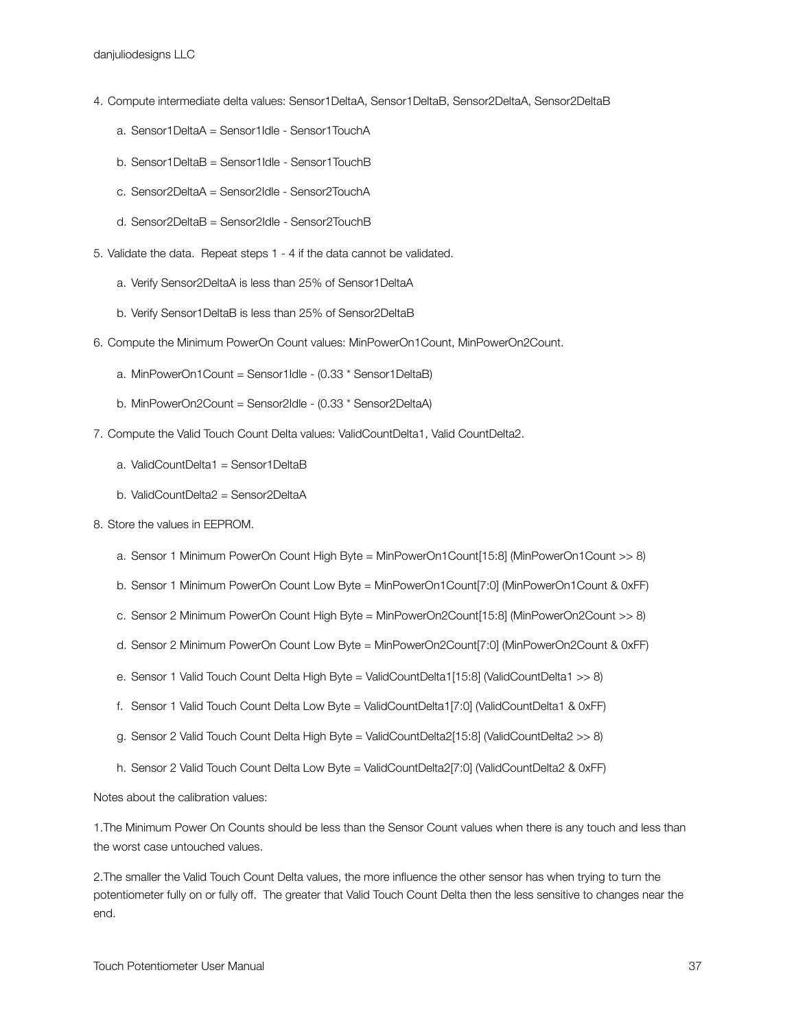- 4. Compute intermediate delta values: Sensor1DeltaA, Sensor1DeltaB, Sensor2DeltaA, Sensor2DeltaB
	- a. Sensor1DeltaA = Sensor1Idle Sensor1TouchA
	- b. Sensor1DeltaB = Sensor1Idle Sensor1TouchB
	- c. Sensor2DeltaA = Sensor2Idle Sensor2TouchA
	- d. Sensor2DeltaB = Sensor2Idle Sensor2TouchB
- 5. Validate the data. Repeat steps 1 4 if the data cannot be validated.
	- a. Verify Sensor2DeltaA is less than 25% of Sensor1DeltaA
	- b. Verify Sensor1DeltaB is less than 25% of Sensor2DeltaB
- 6. Compute the Minimum PowerOn Count values: MinPowerOn1Count, MinPowerOn2Count.
	- a. MinPowerOn1Count = Sensor1Idle (0.33 \* Sensor1DeltaB)
	- b. MinPowerOn2Count = Sensor2Idle (0.33 \* Sensor2DeltaA)
- 7. Compute the Valid Touch Count Delta values: ValidCountDelta1, Valid CountDelta2.
	- a. ValidCountDelta1 = Sensor1DeltaB
	- b. ValidCountDelta2 = Sensor2DeltaA
- 8. Store the values in EEPROM.
	- a. Sensor 1 Minimum PowerOn Count High Byte = MinPowerOn1Count[15:8] (MinPowerOn1Count >> 8)
	- b. Sensor 1 Minimum PowerOn Count Low Byte = MinPowerOn1Count[7:0] (MinPowerOn1Count & 0xFF)
	- c. Sensor 2 Minimum PowerOn Count High Byte = MinPowerOn2Count[15:8] (MinPowerOn2Count >> 8)
	- d. Sensor 2 Minimum PowerOn Count Low Byte = MinPowerOn2Count[7:0] (MinPowerOn2Count & 0xFF)
	- e. Sensor 1 Valid Touch Count Delta High Byte = ValidCountDelta1[15:8] (ValidCountDelta1 >> 8)
	- f. Sensor 1 Valid Touch Count Delta Low Byte = ValidCountDelta1[7:0] (ValidCountDelta1 & 0xFF)
	- g. Sensor 2 Valid Touch Count Delta High Byte = ValidCountDelta2[15:8] (ValidCountDelta2 >> 8)
	- h. Sensor 2 Valid Touch Count Delta Low Byte = ValidCountDelta2[7:0] (ValidCountDelta2 & 0xFF)

Notes about the calibration values:

1.The Minimum Power On Counts should be less than the Sensor Count values when there is any touch and less than the worst case untouched values.

2.The smaller the Valid Touch Count Delta values, the more influence the other sensor has when trying to turn the potentiometer fully on or fully off. The greater that Valid Touch Count Delta then the less sensitive to changes near the end.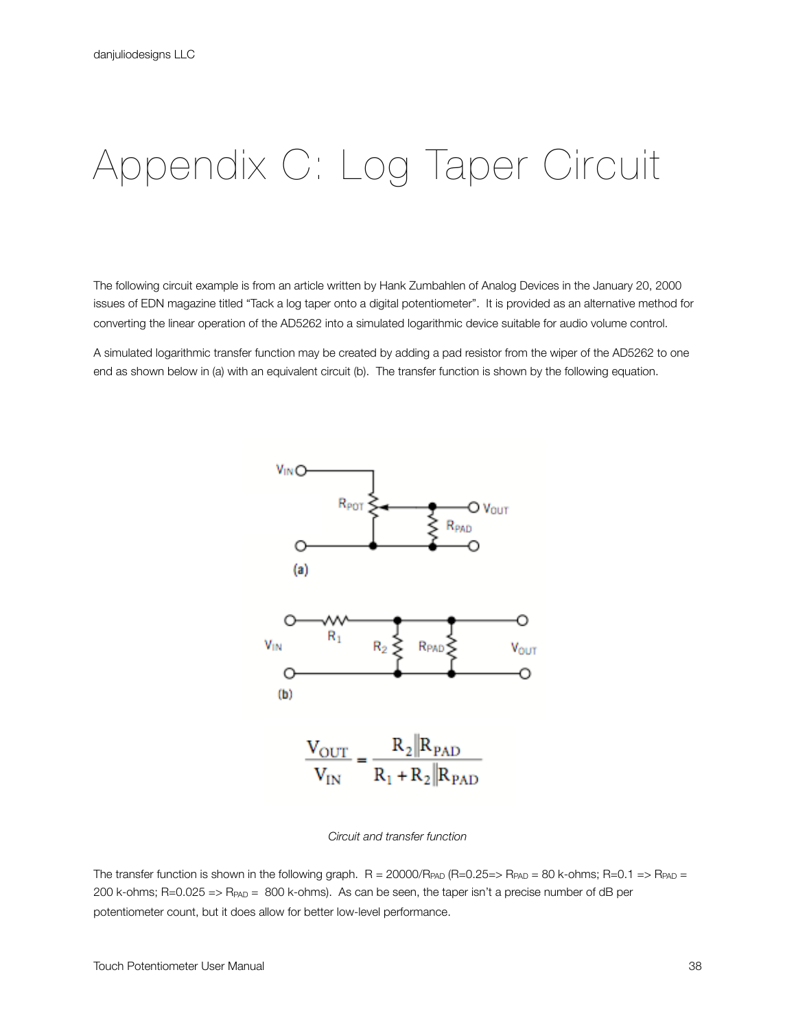# <span id="page-38-0"></span>Appendix C: Log Taper Circuit

The following circuit example is from an article written by Hank Zumbahlen of Analog Devices in the January 20, 2000 issues of EDN magazine titled "Tack a log taper onto a digital potentiometer". It is provided as an alternative method for converting the linear operation of the AD5262 into a simulated logarithmic device suitable for audio volume control.

A simulated logarithmic transfer function may be created by adding a pad resistor from the wiper of the AD5262 to one end as shown below in (a) with an equivalent circuit (b). The transfer function is shown by the following equation.



*Circuit and transfer function*

The transfer function is shown in the following graph.  $R = 20000/R_{PAD}$  (R=0.25=> R<sub>PAD</sub> = 80 k-ohms; R=0.1 => R<sub>PAD</sub> = 200 k-ohms;  $R=0.025 \Rightarrow R_{PAD} = 800$  k-ohms). As can be seen, the taper isn't a precise number of dB per potentiometer count, but it does allow for better low-level performance.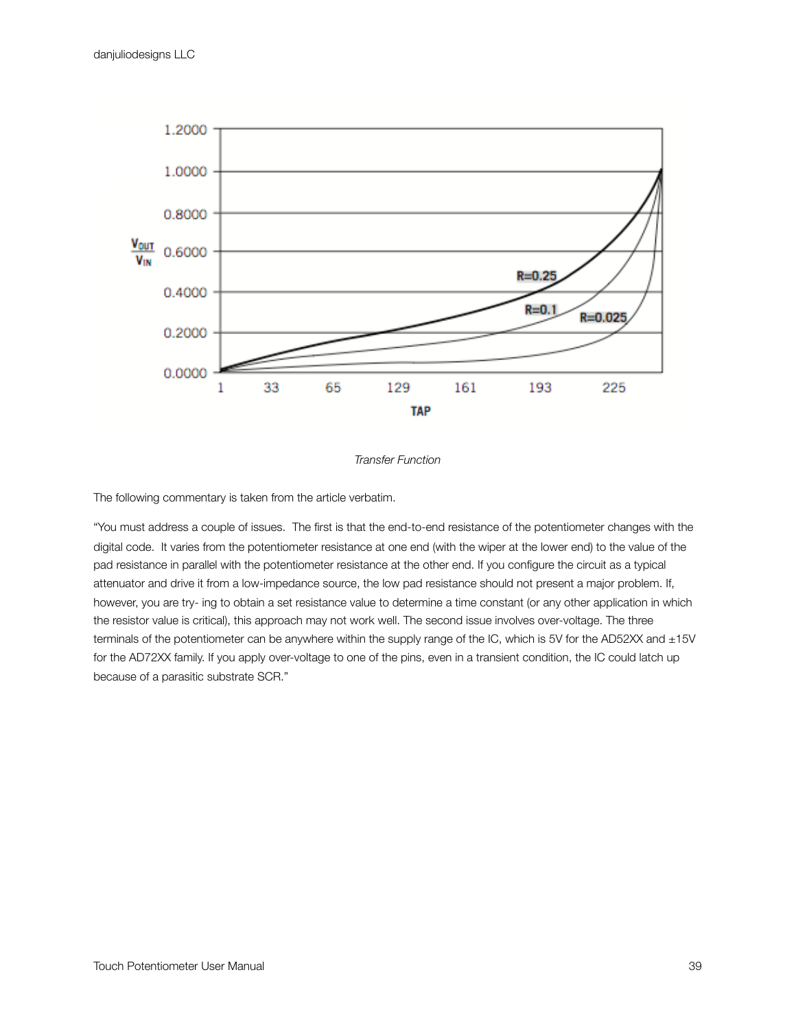

#### *Transfer Function*

The following commentary is taken from the article verbatim.

"You must address a couple of issues. The first is that the end-to-end resistance of the potentiometer changes with the digital code. It varies from the potentiometer resistance at one end (with the wiper at the lower end) to the value of the pad resistance in parallel with the potentiometer resistance at the other end. If you configure the circuit as a typical attenuator and drive it from a low-impedance source, the low pad resistance should not present a major problem. If, however, you are try- ing to obtain a set resistance value to determine a time constant (or any other application in which the resistor value is critical), this approach may not work well. The second issue involves over-voltage. The three terminals of the potentiometer can be anywhere within the supply range of the IC, which is 5V for the AD52XX and ±15V for the AD72XX family. If you apply over-voltage to one of the pins, even in a transient condition, the IC could latch up because of a parasitic substrate SCR."